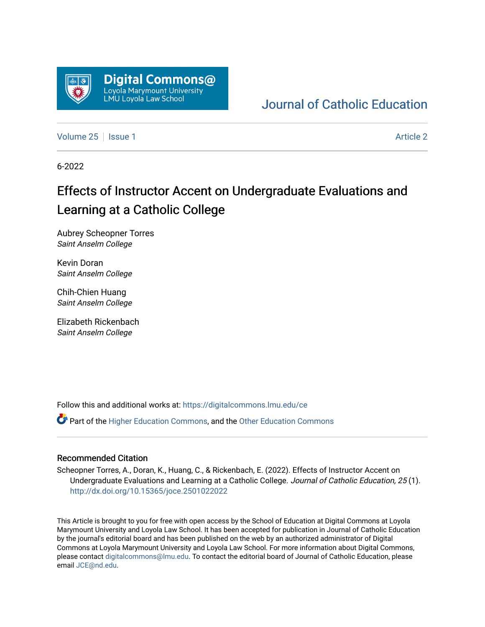

# [Journal of Catholic Education](https://digitalcommons.lmu.edu/ce)

[Volume 25](https://digitalcommons.lmu.edu/ce/vol25) | [Issue 1](https://digitalcommons.lmu.edu/ce/vol25/iss1) [Article 2](https://digitalcommons.lmu.edu/ce/vol25/iss1/2) | Article 2 Article 2 | Article 2 | Article 2 | Article 2 | Article 2 | Article 2

6-2022

# Effects of Instructor Accent on Undergraduate Evaluations and Learning at a Catholic College

Aubrey Scheopner Torres Saint Anselm College

Kevin Doran Saint Anselm College

Chih-Chien Huang Saint Anselm College

Elizabeth Rickenbach Saint Anselm College

Follow this and additional works at: [https://digitalcommons.lmu.edu/ce](https://digitalcommons.lmu.edu/ce?utm_source=digitalcommons.lmu.edu%2Fce%2Fvol25%2Fiss1%2F2&utm_medium=PDF&utm_campaign=PDFCoverPages)

Part of the [Higher Education Commons,](https://network.bepress.com/hgg/discipline/1245?utm_source=digitalcommons.lmu.edu%2Fce%2Fvol25%2Fiss1%2F2&utm_medium=PDF&utm_campaign=PDFCoverPages) and the [Other Education Commons](https://network.bepress.com/hgg/discipline/811?utm_source=digitalcommons.lmu.edu%2Fce%2Fvol25%2Fiss1%2F2&utm_medium=PDF&utm_campaign=PDFCoverPages) 

# Recommended Citation

Scheopner Torres, A., Doran, K., Huang, C., & Rickenbach, E. (2022). Effects of Instructor Accent on Undergraduate Evaluations and Learning at a Catholic College. Journal of Catholic Education, 25(1). <http://dx.doi.org/10.15365/joce.2501022022>

This Article is brought to you for free with open access by the School of Education at Digital Commons at Loyola Marymount University and Loyola Law School. It has been accepted for publication in Journal of Catholic Education by the journal's editorial board and has been published on the web by an authorized administrator of Digital Commons at Loyola Marymount University and Loyola Law School. For more information about Digital Commons, please contact [digitalcommons@lmu.edu](mailto:digitalcommons@lmu.edu). To contact the editorial board of Journal of Catholic Education, please email [JCE@nd.edu](mailto:JCE@nd.edu).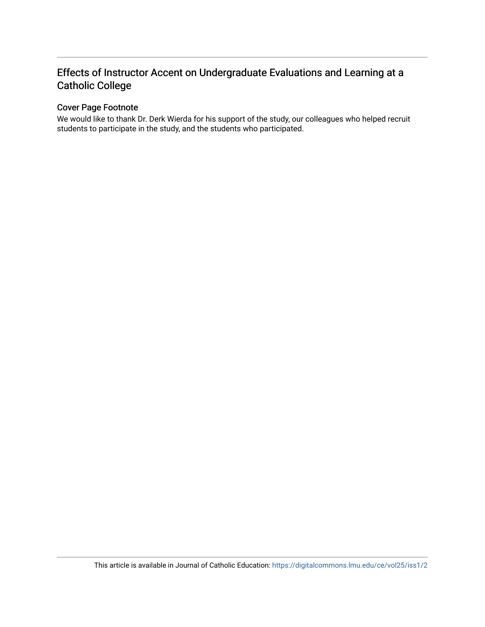# Effects of Instructor Accent on Undergraduate Evaluations and Learning at a Catholic College

# Cover Page Footnote

We would like to thank Dr. Derk Wierda for his support of the study, our colleagues who helped recruit students to participate in the study, and the students who participated.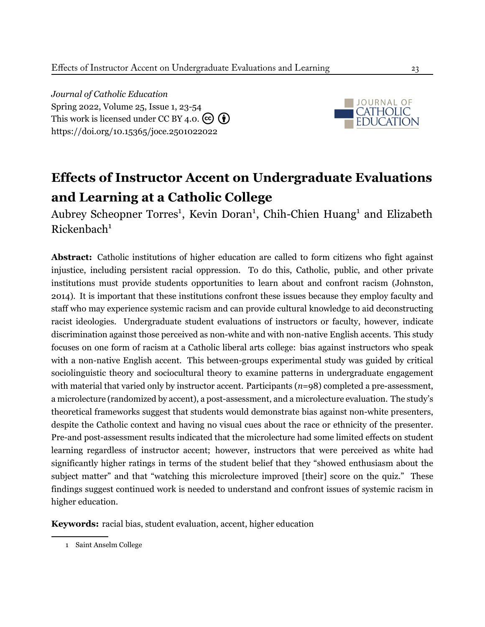*Journal of Catholic Education* Spring 2022, Volume 25, Issue 1, 23-[54](#page--1-0) This work is licensed under CC BY 4.0.  $\left(\overline{\mathbf{c}}\right)\left(\overline{\mathbf{f}}\right)$ <https://doi.org/10.15365/joce.2501022022>



# **Effects of Instructor Accent on Undergraduate Evaluations and Learning at a Catholic College**

Aubrey Scheopner Torres<sup>1</sup>, Kevin Doran<sup>1</sup>, Chih-Chien Huang<sup>1</sup> and Elizabeth  $Rickenbach<sup>1</sup>$ 

**Abstract:** Catholic institutions of higher education are called to form citizens who fight against injustice, including persistent racial oppression. To do this, Catholic, public, and other private institutions must provide students opportunities to learn about and confront racism [\(Johnston](#page--1-1), [2014](#page--1-1)). It is important that these institutions confront these issues because they employ faculty and staff who may experience systemic racism and can provide cultural knowledge to aid deconstructing racist ideologies. Undergraduate student evaluations of instructors or faculty, however, indicate discrimination against those perceived as non-white and with non-native English accents. This study focuses on one form of racism at a Catholic liberal arts college: bias against instructors who speak with a non-native English accent. This between-groups experimental study was guided by critical sociolinguistic theory and sociocultural theory to examine patterns in undergraduate engagement with material that varied only by instructor accent. Participants (*n*=98) completed a pre-assessment, a microlecture (randomized by accent), a post-assessment, and a microlecture evaluation. The study's theoretical frameworks suggest that students would demonstrate bias against non-white presenters, despite the Catholic context and having no visual cues about the race or ethnicity of the presenter. Pre-and post-assessment results indicated that the microlecture had some limited effects on student learning regardless of instructor accent; however, instructors that were perceived as white had significantly higher ratings in terms of the student belief that they "showed enthusiasm about the subject matter" and that "watching this microlecture improved [their] score on the quiz." These findings suggest continued work is needed to understand and confront issues of systemic racism in higher education.

**Keywords:** racial bias, student evaluation, accent, higher education

<sup>1</sup> Saint Anselm College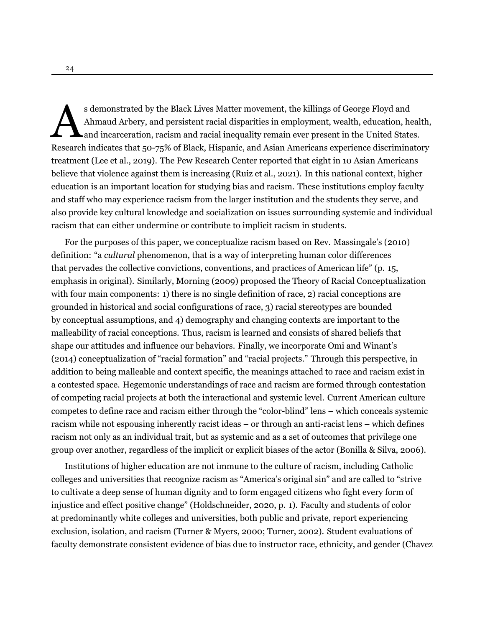s demonstrated by the Black Lives Matter movement, the killings of George Floyd and<br>Ahmaud Arbery, and persistent racial disparities in employment, wealth, education, health<br>and incarceration, racism and racial inequality s demonstrated by the Black Lives Matter movement, the killings of George Floyd and Ahmaud Arbery, and persistent racial disparities in employment, wealth, education, health, and incarceration, racism and racial inequality remain ever present in the United States. treatment [\(Lee et al.](#page-30-0), [2019\)](#page-30-0). The Pew Research Center reported that eight in 10 Asian Americans believe that violence against them is increasing [\(Ruiz et al.](#page-32-0), [2021](#page-32-0)). In this national context, higher education is an important location for studying bias and racism. These institutions employ faculty and staff who may experience racism from the larger institution and the students they serve, and also provide key cultural knowledge and socialization on issues surrounding systemic and individual racism that can either undermine or contribute to implicit racism in students.

For the purposes of this paper, we conceptualize racism based on Rev. Massingale's [\(2010\)](#page-30-1) definition: "a *cultural* phenomenon, that is a way of interpreting human color differences that pervades the collective convictions, conventions, and practices of American life" (p. 15, emphasis in original). Similarly, [Morning](#page-31-0) [\(2009\)](#page-31-0) proposed the Theory of Racial Conceptualization with four main components: 1) there is no single definition of race, 2) racial conceptions are grounded in historical and social configurations of race, 3) racial stereotypes are bounded by conceptual assumptions, and 4) demography and changing contexts are important to the malleability of racial conceptions. Thus, racism is learned and consists of shared beliefs that shape our attitudes and influence our behaviors. Finally, we incorporate Omi and Winant's ([2014\)](#page-31-1) conceptualization of "racial formation" and "racial projects." Through this perspective, in addition to being malleable and context specific, the meanings attached to race and racism exist in a contested space. Hegemonic understandings of race and racism are formed through contestation of competing racial projects at both the interactional and systemic level. Current American culture competes to define race and racism either through the "color-blind" lens – which conceals systemic racism while not espousing inherently racist ideas – or through an anti-racist lens – which defines racism not only as an individual trait, but as systemic and as a set of outcomes that privilege one group over another, regardless of the implicit or explicit biases of the actor [\(Bonilla & Silva,](#page-28-0) [2006](#page-28-0)).

Institutions of higher education are not immune to the culture of racism, including Catholic colleges and universities that recognize racism as "America's original sin" and are called to "strive to cultivate a deep sense of human dignity and to form engaged citizens who fight every form of injustice and effect positive change" (Holdschneider, [2020](#page-29-0), p. 1). Faculty and students of color at predominantly white colleges and universities, both public and private, report experiencing exclusion, isolation, and racism [\(Turner & Myers,](#page-32-1) [2000](#page-32-1); [Turner](#page-32-2), [2002](#page-32-2)). Student evaluations of faculty demonstrate consistent evidence of bias due to instructor race, ethnicity, and gender [\(Chavez](#page-28-1)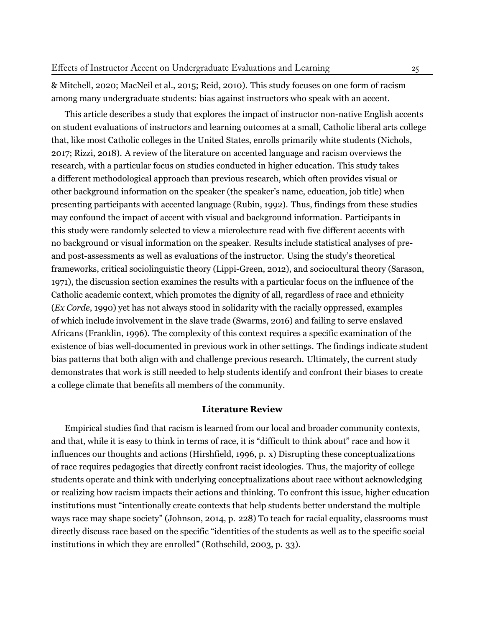[& Mitchell](#page-28-1), [2020](#page-28-1); [MacNeil et al.,](#page-30-2) [2015](#page-30-2); [Reid,](#page-31-2) [2010\)](#page-31-2). This study focuses on one form of racism among many undergraduate students: bias against instructors who speak with an accent.

This article describes a study that explores the impact of instructor non-native English accents on student evaluations of instructors and learning outcomes at a small, Catholic liberal arts college that, like most Catholic colleges in the United States, enrolls primarily white students ([Nichols](#page-31-3), [2017;](#page-31-3) [Rizzi,](#page-32-3) [2018](#page-32-3)). A review of the literature on accented language and racism overviews the research, with a particular focus on studies conducted in higher education. This study takes a different methodological approach than previous research, which often provides visual or other background information on the speaker (the speaker's name, education, job title) when presenting participants with accented language [\(Rubin](#page-32-4), [1992\)](#page-32-4). Thus, findings from these studies may confound the impact of accent with visual and background information. Participants in this study were randomly selected to view a microlecture read with five different accents with no background or visual information on the speaker. Results include statistical analyses of preand post-assessments as well as evaluations of the instructor. Using the study's theoretical frameworks, critical sociolinguistic theory [\(Lippi-Green,](#page-30-3) [2012](#page-30-3)), and sociocultural theory [\(Sarason,](#page-32-5) [1971\)](#page-32-5), the discussion section examines the results with a particular focus on the influence of the Catholic academic context, which promotes the dignity of all, regardless of race and ethnicity (*Ex Corde*, [1990\)](#page-29-1) yet has not always stood in solidarity with the racially oppressed, examples of which include involvement in the slave trade ([Swarms](#page-32-6), [2016\)](#page-32-6) and failing to serve enslaved Africans ([Franklin](#page-29-2), [1996](#page-29-2)). The complexity of this context requires a specific examination of the existence of bias well-documented in previous work in other settings. The findings indicate student bias patterns that both align with and challenge previous research. Ultimately, the current study demonstrates that work is still needed to help students identify and confront their biases to create a college climate that benefits all members of the community.

# **Literature Review**

Empirical studies find that racism is learned from our local and broader community contexts, and that, while it is easy to think in terms of race, it is "difficult to think about" race and how it influences our thoughts and actions (Hirshfield, [1996](#page-29-3), p. x) Disrupting these conceptualizations of race requires pedagogies that directly confront racist ideologies. Thus, the majority of college students operate and think with underlying conceptualizations about race without acknowledging or realizing how racism impacts their actions and thinking. To confront this issue, higher education institutions must "intentionally create contexts that help students better understand the multiple ways race may shape society" (Johnson, [2014,](#page-29-4) p. 228) To teach for racial equality, classrooms must directly discuss race based on the specific "identities of the students as well as to the specific social institutions in which they are enrolled" (Rothschild, [2003](#page-32-7), p. 33).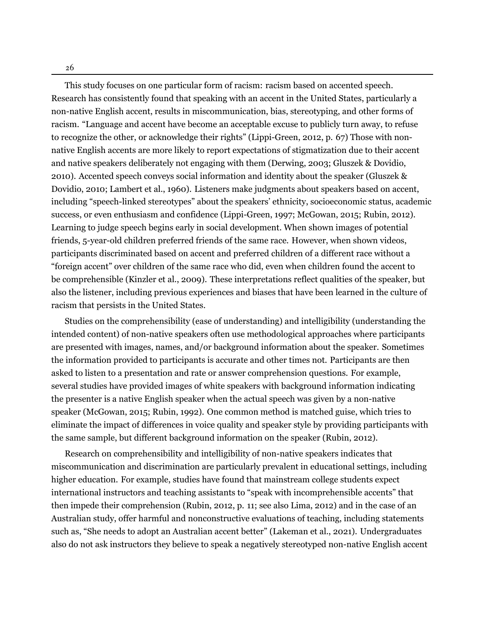26

This study focuses on one particular form of racism: racism based on accented speech. Research has consistently found that speaking with an accent in the United States, particularly a non-native English accent, results in miscommunication, bias, stereotyping, and other forms of racism. "Language and accent have become an acceptable excuse to publicly turn away, to refuse to recognize the other, or acknowledge their rights" (Lippi-Green, [2012,](#page-30-3) p. 67) Those with nonnative English accents are more likely to report expectations of stigmatization due to their accent and native speakers deliberately not engaging with them [\(Derwing,](#page-28-2) [2003;](#page-28-2) [Gluszek & Dovidio,](#page-29-5) [2010\)](#page-29-5). Accented speech conveys social information and identity about the speaker [\(Gluszek &](#page-29-5) [Dovidio,](#page-29-5) [2010;](#page-29-5) [Lambert et al.,](#page-30-4) [1960](#page-30-4)). Listeners make judgments about speakers based on accent, including "speech-linked stereotypes" about the speakers' ethnicity, socioeconomic status, academic success, or even enthusiasm and confidence [\(Lippi-Green](#page-30-5), [1997](#page-30-5); [McGowan](#page-30-6), [2015;](#page-30-6) [Rubin,](#page-32-8) [2012\)](#page-32-8). Learning to judge speech begins early in social development. When shown images of potential friends, 5-year-old children preferred friends of the same race. However, when shown videos, participants discriminated based on accent and preferred children of a different race without a "foreign accent" over children of the same race who did, even when children found the accent to be comprehensible [\(Kinzler et al.](#page-29-6), [2009](#page-29-6)). These interpretations reflect qualities of the speaker, but also the listener, including previous experiences and biases that have been learned in the culture of racism that persists in the United States.

Studies on the comprehensibility (ease of understanding) and intelligibility (understanding the intended content) of non-native speakers often use methodological approaches where participants are presented with images, names, and/or background information about the speaker. Sometimes the information provided to participants is accurate and other times not. Participants are then asked to listen to a presentation and rate or answer comprehension questions. For example, several studies have provided images of white speakers with background information indicating the presenter is a native English speaker when the actual speech was given by a non-native speaker ([McGowan,](#page-30-6) [2015](#page-30-6); [Rubin](#page-32-4), [1992\)](#page-32-4). One common method is matched guise, which tries to eliminate the impact of differences in voice quality and speaker style by providing participants with the same sample, but different background information on the speaker [\(Rubin,](#page-32-8) [2012](#page-32-8)).

Research on comprehensibility and intelligibility of non-native speakers indicates that miscommunication and discrimination are particularly prevalent in educational settings, including higher education. For example, studies have found that mainstream college students expect international instructors and teaching assistants to "speak with incomprehensible accents" that then impede their comprehension (Rubin, [2012,](#page-32-8) p. 11; see also Lima, [2012](#page-30-7)) and in the case of an Australian study, offer harmful and nonconstructive evaluations of teaching, including statements such as, "She needs to adopt an Australian accent better" [\(Lakeman et al.](#page-30-8), [2021](#page-30-8)). Undergraduates also do not ask instructors they believe to speak a negatively stereotyped non-native English accent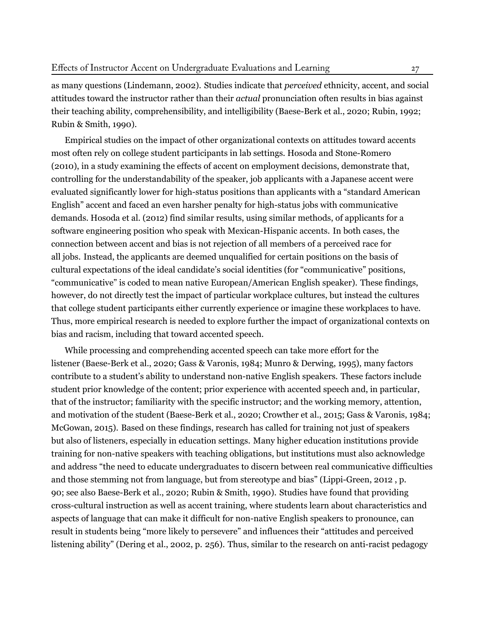as many questions [\(Lindemann](#page-30-9), [2002](#page-30-9)). Studies indicate that *perceived* ethnicity, accent, and social attitudes toward the instructor rather than their *actual* pronunciation often results in bias against their teaching ability, comprehensibility, and intelligibility ([Baese-Berk et al.](#page-28-3), [2020;](#page-28-3) [Rubin](#page-32-4), [1992](#page-32-4); [Rubin & Smith,](#page-32-9) [1990\)](#page-32-9).

Empirical studies on the impact of other organizational contexts on attitudes toward accents most often rely on college student participants in lab settings. [Hosoda and Stone-Romero](#page-29-7) ([2010](#page-29-7)), in a study examining the effects of accent on employment decisions, demonstrate that, controlling for the understandability of the speaker, job applicants with a Japanese accent were evaluated significantly lower for high-status positions than applicants with a "standard American English" accent and faced an even harsher penalty for high-status jobs with communicative demands. [Hosoda et al.](#page-29-8) [\(2012\)](#page-29-8) find similar results, using similar methods, of applicants for a software engineering position who speak with Mexican-Hispanic accents. In both cases, the connection between accent and bias is not rejection of all members of a perceived race for all jobs. Instead, the applicants are deemed unqualified for certain positions on the basis of cultural expectations of the ideal candidate's social identities (for "communicative" positions, "communicative" is coded to mean native European/American English speaker). These findings, however, do not directly test the impact of particular workplace cultures, but instead the cultures that college student participants either currently experience or imagine these workplaces to have. Thus, more empirical research is needed to explore further the impact of organizational contexts on bias and racism, including that toward accented speech.

While processing and comprehending accented speech can take more effort for the listener ([Baese-Berk et al.](#page-28-3), [2020](#page-28-3); [Gass & Varonis,](#page-29-9) [1984;](#page-29-9) [Munro & Derwing](#page-31-4), [1995\)](#page-31-4), many factors contribute to a student's ability to understand non-native English speakers. These factors include student prior knowledge of the content; prior experience with accented speech and, in particular, that of the instructor; familiarity with the specific instructor; and the working memory, attention, and motivation of the student [\(Baese-Berk et al.,](#page-28-3) [2020;](#page-28-3) [Crowther et al.](#page-28-4), [2015;](#page-28-4) [Gass & Varonis](#page-29-9), [1984](#page-29-9); [McGowan,](#page-30-6) [2015](#page-30-6)). Based on these findings, research has called for training not just of speakers but also of listeners, especially in education settings. Many higher education institutions provide training for non-native speakers with teaching obligations, but institutions must also acknowledge and address "the need to educate undergraduates to discern between real communicative difficulties and those stemming not from language, but from stereotype and bias" (Lippi-Green, [2012](#page-30-3) , p. 90; see also Baese-Berk et al., [2020](#page-28-3); Rubin & Smith, [1990](#page-32-9)). Studies have found that providing cross-cultural instruction as well as accent training, where students learn about characteristics and aspects of language that can make it difficult for non-native English speakers to pronounce, can result in students being "more likely to persevere" and influences their "attitudes and perceived listening ability" (Dering et al., [2002,](#page-28-5) p. 256). Thus, similar to the research on anti-racist pedagogy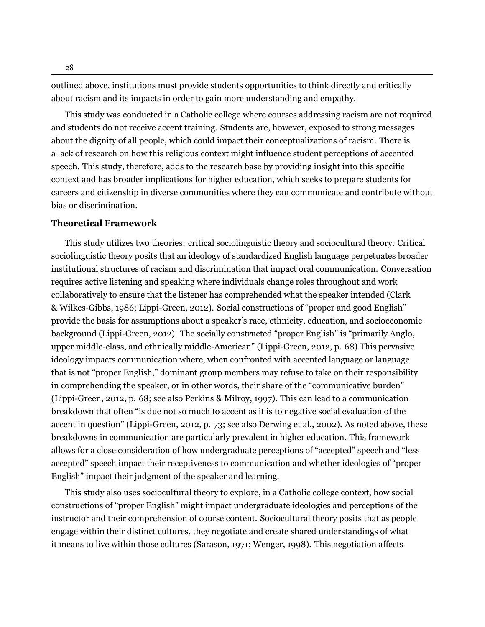outlined above, institutions must provide students opportunities to think directly and critically about racism and its impacts in order to gain more understanding and empathy.

This study was conducted in a Catholic college where courses addressing racism are not required and students do not receive accent training. Students are, however, exposed to strong messages about the dignity of all people, which could impact their conceptualizations of racism. There is a lack of research on how this religious context might influence student perceptions of accented speech. This study, therefore, adds to the research base by providing insight into this specific context and has broader implications for higher education, which seeks to prepare students for careers and citizenship in diverse communities where they can communicate and contribute without bias or discrimination.

# **Theoretical Framework**

This study utilizes two theories: critical sociolinguistic theory and sociocultural theory. Critical sociolinguistic theory posits that an ideology of standardized English language perpetuates broader institutional structures of racism and discrimination that impact oral communication. Conversation requires active listening and speaking where individuals change roles throughout and work collaboratively to ensure that the listener has comprehended what the speaker intended [\(Clark](#page-28-6) [& Wilkes-Gibbs](#page-28-6), [1986](#page-28-6); [Lippi-Green](#page-30-3), [2012](#page-30-3)). Social constructions of "proper and good English" provide the basis for assumptions about a speaker's race, ethnicity, education, and socioeconomic background ([Lippi-Green,](#page-30-3) [2012\)](#page-30-3). The socially constructed "proper English" is "primarily Anglo, upper middle-class, and ethnically middle-American" (Lippi-Green, [2012,](#page-30-3) p. 68) This pervasive ideology impacts communication where, when confronted with accented language or language that is not "proper English," dominant group members may refuse to take on their responsibility in comprehending the speaker, or in other words, their share of the "communicative burden" (Lippi-Green, [2012,](#page-30-3) p. 68; see also Perkins & Milroy, [1997](#page-31-5)). This can lead to a communication breakdown that often "is due not so much to accent as it is to negative social evaluation of the accent in question" (Lippi-Green, [2012](#page-30-3), p. 73; see also Derwing et al., [2002](#page-28-5)). As noted above, these breakdowns in communication are particularly prevalent in higher education. This framework allows for a close consideration of how undergraduate perceptions of "accepted" speech and "less accepted" speech impact their receptiveness to communication and whether ideologies of "proper English" impact their judgment of the speaker and learning.

This study also uses sociocultural theory to explore, in a Catholic college context, how social constructions of "proper English" might impact undergraduate ideologies and perceptions of the instructor and their comprehension of course content. Sociocultural theory posits that as people engage within their distinct cultures, they negotiate and create shared understandings of what it means to live within those cultures [\(Sarason,](#page-32-5) [1971;](#page-32-5) [Wenger](#page-33-0), [1998](#page-33-0)). This negotiation affects

28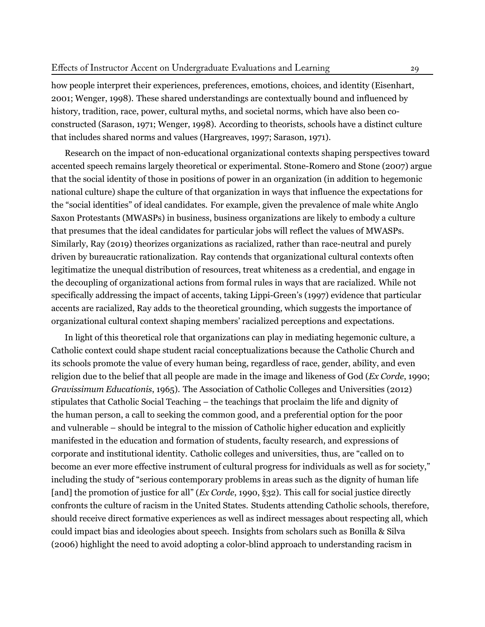how people interpret their experiences, preferences, emotions, choices, and identity [\(Eisenhart](#page-29-10), [2001;](#page-29-10) [Wenger,](#page-33-0) [1998\)](#page-33-0). These shared understandings are contextually bound and influenced by history, tradition, race, power, cultural myths, and societal norms, which have also been coconstructed [\(Sarason,](#page-32-5) [1971;](#page-32-5) [Wenger](#page-33-0), [1998](#page-33-0)). According to theorists, schools have a distinct culture that includes shared norms and values [\(Hargreaves,](#page-29-11) [1997;](#page-29-11) [Sarason](#page-32-5), [1971\)](#page-32-5).

Research on the impact of non-educational organizational contexts shaping perspectives toward accented speech remains largely theoretical or experimental. [Stone-Romero and Stone](#page-32-10) ([2007\)](#page-32-10) argue that the social identity of those in positions of power in an organization (in addition to hegemonic national culture) shape the culture of that organization in ways that influence the expectations for the "social identities" of ideal candidates. For example, given the prevalence of male white Anglo Saxon Protestants (MWASPs) in business, business organizations are likely to embody a culture that presumes that the ideal candidates for particular jobs will reflect the values of MWASPs. Similarly, [Ray](#page-31-6) [\(2019\)](#page-31-6) theorizes organizations as racialized, rather than race-neutral and purely driven by bureaucratic rationalization. Ray contends that organizational cultural contexts often legitimatize the unequal distribution of resources, treat whiteness as a credential, and engage in the decoupling of organizational actions from formal rules in ways that are racialized. While not specifically addressing the impact of accents, taking Lippi-Green's ([1997](#page-30-5)) evidence that particular accents are racialized, Ray adds to the theoretical grounding, which suggests the importance of organizational cultural context shaping members' racialized perceptions and expectations.

In light of this theoretical role that organizations can play in mediating hegemonic culture, a Catholic context could shape student racial conceptualizations because the Catholic Church and its schools promote the value of every human being, regardless of race, gender, ability, and even religion due to the belief that all people are made in the image and likeness of God (*Ex Corde*, [1990](#page-29-1); *Gravissimum Educationis*, [1965](#page-31-7)). The Association of Catholic Colleges and Universities ([2012](#page-28-7)) stipulates that Catholic Social Teaching – the teachings that proclaim the life and dignity of the human person, a call to seeking the common good, and a preferential option for the poor and vulnerable – should be integral to the mission of Catholic higher education and explicitly manifested in the education and formation of students, faculty research, and expressions of corporate and institutional identity. Catholic colleges and universities, thus, are "called on to become an ever more effective instrument of cultural progress for individuals as well as for society," including the study of "serious contemporary problems in areas such as the dignity of human life [and] the promotion of justice for all" (*Ex Corde*, [1990](#page-29-1), §32). This call for social justice directly confronts the culture of racism in the United States. Students attending Catholic schools, therefore, should receive direct formative experiences as well as indirect messages about respecting all, which could impact bias and ideologies about speech. Insights from scholars such as [Bonilla & Silva](#page-28-0) ([2006\)](#page-28-0) highlight the need to avoid adopting a color-blind approach to understanding racism in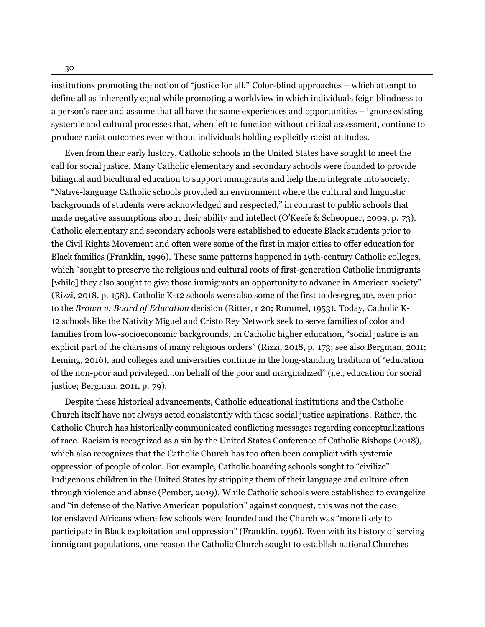30

institutions promoting the notion of "justice for all." Color-blind approaches – which attempt to define all as inherently equal while promoting a worldview in which individuals feign blindness to a person's race and assume that all have the same experiences and opportunities – ignore existing systemic and cultural processes that, when left to function without critical assessment, continue to produce racist outcomes even without individuals holding explicitly racist attitudes.

Even from their early history, Catholic schools in the United States have sought to meet the call for social justice. Many Catholic elementary and secondary schools were founded to provide bilingual and bicultural education to support immigrants and help them integrate into society. "Native-language Catholic schools provided an environment where the cultural and linguistic backgrounds of students were acknowledged and respected," in contrast to public schools that made negative assumptions about their ability and intellect (O'Keefe & Scheopner, [2009,](#page-31-8) p. 73). Catholic elementary and secondary schools were established to educate Black students prior to the Civil Rights Movement and often were some of the first in major cities to offer education for Black families ([Franklin](#page-29-2), [1996](#page-29-2)). These same patterns happened in 19th-century Catholic colleges, which "sought to preserve the religious and cultural roots of first-generation Catholic immigrants [while] they also sought to give those immigrants an opportunity to advance in American society" (Rizzi, [2018](#page-32-3), p. 158). Catholic K-12 schools were also some of the first to desegregate, even prior to the *Brown v. Board of Education* decision [\(Ritter](#page-31-9), [r 20;](#page-31-9) [Rummel](#page-32-11), [1953\)](#page-32-11). Today, Catholic K-12 schools like the Nativity Miguel and Cristo Rey Network seek to serve families of color and families from low-socioeconomic backgrounds. In Catholic higher education, "social justice is an explicit part of the charisms of many religious orders" (Rizzi, [2018,](#page-32-3) p. 173; see also Bergman, [2011;](#page-28-8) Leming, [2016\)](#page-30-10), and colleges and universities continue in the long-standing tradition of "education of the non-poor and privileged...on behalf of the poor and marginalized" (i.e., education for social justice; Bergman, [2011,](#page-28-8) p. 79).

Despite these historical advancements, Catholic educational institutions and the Catholic Church itself have not always acted consistently with these social justice aspirations. Rather, the Catholic Church has historically communicated conflicting messages regarding conceptualizations of race. Racism is recognized as a sin by the United States Conference of Catholic Bishops [\(2018](#page-32-12)), which also recognizes that the Catholic Church has too often been complicit with systemic oppression of people of color. For example, Catholic boarding schools sought to "civilize" Indigenous children in the United States by stripping them of their language and culture often through violence and abuse ([Pember](#page-31-10), [2019](#page-31-10)). While Catholic schools were established to evangelize and "in defense of the Native American population" against conquest, this was not the case for enslaved Africans where few schools were founded and the Church was "more likely to participate in Black exploitation and oppression" [\(Franklin,](#page-29-2) [1996\)](#page-29-2). Even with its history of serving immigrant populations, one reason the Catholic Church sought to establish national Churches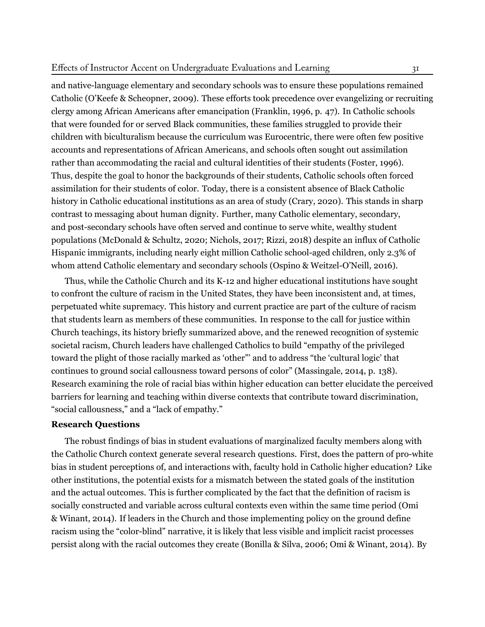# Effects of Instructor Accent on Undergraduate Evaluations and Learning 31

and native-language elementary and secondary schools was to ensure these populations remained Catholic [\(O'Keefe & Scheopner,](#page-31-8) [2009](#page-31-8)). These efforts took precedence over evangelizing or recruiting clergy among African Americans after emancipation (Franklin, [1996](#page-29-2), p. 47). In Catholic schools that were founded for or served Black communities, these families struggled to provide their children with biculturalism because the curriculum was Eurocentric, there were often few positive accounts and representations of African Americans, and schools often sought out assimilation rather than accommodating the racial and cultural identities of their students (Foster, [1996\)](#page-29-12). Thus, despite the goal to honor the backgrounds of their students, Catholic schools often forced assimilation for their students of color. Today, there is a consistent absence of Black Catholic history in Catholic educational institutions as an area of study ([Crary](#page-28-9), [2020\)](#page-28-9). This stands in sharp contrast to messaging about human dignity. Further, many Catholic elementary, secondary, and post-secondary schools have often served and continue to serve white, wealthy student populations ([McDonald & Schultz,](#page-30-11) [2020;](#page-30-11) [Nichols](#page-31-3), [2017;](#page-31-3) [Rizzi,](#page-32-3) [2018](#page-32-3)) despite an influx of Catholic Hispanic immigrants, including nearly eight million Catholic school-aged children, only 2.3% of whom attend Catholic elementary and secondary schools (Ospino & Weitzel-O'Neill, [2016](#page-31-11)).

Thus, while the Catholic Church and its K-12 and higher educational institutions have sought to confront the culture of racism in the United States, they have been inconsistent and, at times, perpetuated white supremacy. This history and current practice are part of the culture of racism that students learn as members of these communities. In response to the call for justice within Church teachings, its history briefly summarized above, and the renewed recognition of systemic societal racism, Church leaders have challenged Catholics to build "empathy of the privileged toward the plight of those racially marked as 'other"' and to address "the 'cultural logic' that continues to ground social callousness toward persons of color" (Massingale, [2014](#page-30-12), p. 138). Research examining the role of racial bias within higher education can better elucidate the perceived barriers for learning and teaching within diverse contexts that contribute toward discrimination, "social callousness," and a "lack of empathy."

# **Research Questions**

The robust findings of bias in student evaluations of marginalized faculty members along with the Catholic Church context generate several research questions. First, does the pattern of pro-white bias in student perceptions of, and interactions with, faculty hold in Catholic higher education? Like other institutions, the potential exists for a mismatch between the stated goals of the institution and the actual outcomes. This is further complicated by the fact that the definition of racism is socially constructed and variable across cultural contexts even within the same time period (Omi & Winant, [2014](#page-31-1)). If leaders in the Church and those implementing policy on the ground define racism using the "color-blind" narrative, it is likely that less visible and implicit racist processes persist along with the racial outcomes they create ([Bonilla & Silva](#page-28-0), [2006;](#page-28-0) [Omi & Winant,](#page-31-1) [2014\)](#page-31-1). By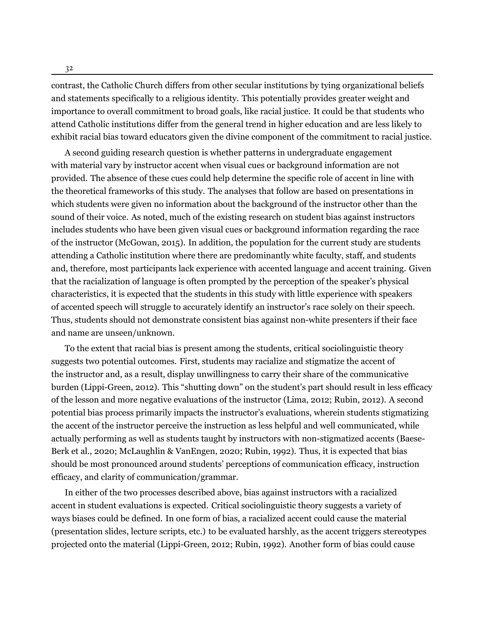32

contrast, the Catholic Church differs from other secular institutions by tying organizational beliefs and statements specifically to a religious identity. This potentially provides greater weight and importance to overall commitment to broad goals, like racial justice. It could be that students who attend Catholic institutions differ from the general trend in higher education and are less likely to exhibit racial bias toward educators given the divine component of the commitment to racial justice.

A second guiding research question is whether patterns in undergraduate engagement with material vary by instructor accent when visual cues or background information are not provided. The absence of these cues could help determine the specific role of accent in line with the theoretical frameworks of this study. The analyses that follow are based on presentations in which students were given no information about the background of the instructor other than the sound of their voice. As noted, much of the existing research on student bias against instructors includes students who have been given visual cues or background information regarding the race of the instructor ([McGowan](#page-30-6), [2015](#page-30-6)). In addition, the population for the current study are students attending a Catholic institution where there are predominantly white faculty, staff, and students and, therefore, most participants lack experience with accented language and accent training. Given that the racialization of language is often prompted by the perception of the speaker's physical characteristics, it is expected that the students in this study with little experience with speakers of accented speech will struggle to accurately identify an instructor's race solely on their speech. Thus, students should not demonstrate consistent bias against non-white presenters if their face and name are unseen/unknown.

To the extent that racial bias is present among the students, critical sociolinguistic theory suggests two potential outcomes. First, students may racialize and stigmatize the accent of the instructor and, as a result, display unwillingness to carry their share of the communicative burden [\(Lippi-Green](#page-30-3), [2012](#page-30-3)). This "shutting down" on the student's part should result in less efficacy of the lesson and more negative evaluations of the instructor ([Lima,](#page-30-7) [2012;](#page-30-7) [Rubin,](#page-32-8) [2012\)](#page-32-8). A second potential bias process primarily impacts the instructor's evaluations, wherein students stigmatizing the accent of the instructor perceive the instruction as less helpful and well communicated, while actually performing as well as students taught by instructors with non-stigmatized accents ([Baese-](#page-28-3)[Berk et al.](#page-28-3), [2020;](#page-28-3) [McLaughlin & VanEngen,](#page-31-12) [2020;](#page-31-12) [Rubin,](#page-32-4) [1992](#page-32-4)). Thus, it is expected that bias should be most pronounced around students' perceptions of communication efficacy, instruction efficacy, and clarity of communication/grammar.

In either of the two processes described above, bias against instructors with a racialized accent in student evaluations is expected. Critical sociolinguistic theory suggests a variety of ways biases could be defined. In one form of bias, a racialized accent could cause the material (presentation slides, lecture scripts, etc.) to be evaluated harshly, as the accent triggers stereotypes projected onto the material ([Lippi-Green](#page-30-3), [2012;](#page-30-3) [Rubin](#page-32-4), [1992\)](#page-32-4). Another form of bias could cause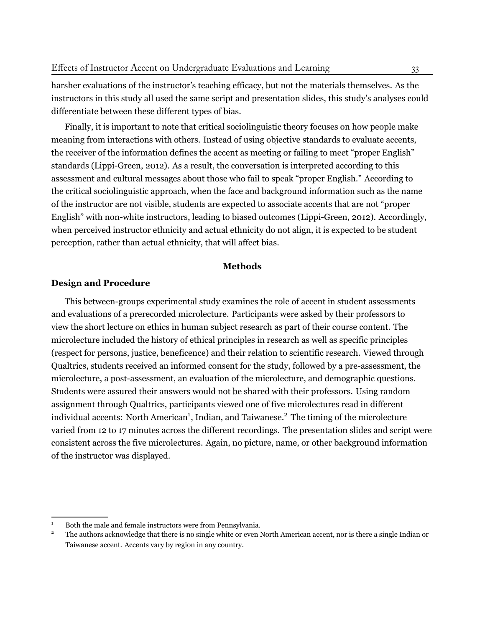harsher evaluations of the instructor's teaching efficacy, but not the materials themselves. As the instructors in this study all used the same script and presentation slides, this study's analyses could differentiate between these different types of bias.

Finally, it is important to note that critical sociolinguistic theory focuses on how people make meaning from interactions with others. Instead of using objective standards to evaluate accents, the receiver of the information defines the accent as meeting or failing to meet "proper English" standards [\(Lippi-Green](#page-30-3), [2012](#page-30-3)). As a result, the conversation is interpreted according to this assessment and cultural messages about those who fail to speak "proper English." According to the critical sociolinguistic approach, when the face and background information such as the name of the instructor are not visible, students are expected to associate accents that are not "proper English" with non-white instructors, leading to biased outcomes ([Lippi-Green,](#page-30-3) [2012\)](#page-30-3). Accordingly, when perceived instructor ethnicity and actual ethnicity do not align, it is expected to be student perception, rather than actual ethnicity, that will affect bias.

#### **Methods**

# **Design and Procedure**

This between-groups experimental study examines the role of accent in student assessments and evaluations of a prerecorded microlecture. Participants were asked by their professors to view the short lecture on ethics in human subject research as part of their course content. The microlecture included the history of ethical principles in research as well as specific principles (respect for persons, justice, beneficence) and their relation to scientific research. Viewed through Qualtrics, students received an informed consent for the study, followed by a pre-assessment, the microlecture, a post-assessment, an evaluation of the microlecture, and demographic questions. Students were assured their answers would not be shared with their professors. Using random assignment through Qualtrics, participants viewed one of five microlectures read in different individual accents: North American<sup>1</sup>, Indian, and Taiwanese.<sup>2</sup> The timing of the microlecture varied from 12 to 17 minutes across the different recordings. The presentation slides and script were consistent across the five microlectures. Again, no picture, name, or other background information of the instructor was displayed.

<sup>&</sup>lt;sup>1</sup> Both the male and female instructors were from Pennsylvania.<br><sup>2</sup> The authors acknowledge that there is no single white or over  $\lambda$ 

<sup>2</sup> The authors acknowledge that there is no single white or even North American accent, nor is there a single Indian or Taiwanese accent. Accents vary by region in any country.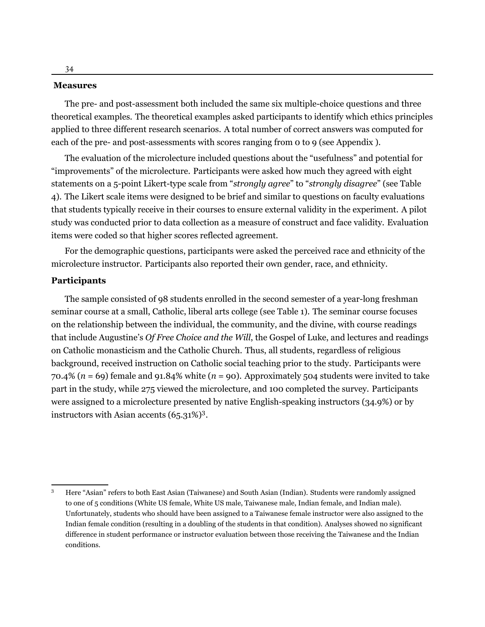#### **Measures**

The pre- and post-assessment both included the same six multiple-choice questions and three theoretical examples. The theoretical examples asked participants to identify which ethics principles applied to three different research scenarios. A total number of correct answers was computed for each of the pre- and post-assessments with scores ranging from 0 to 9 (see Appendix ).

The evaluation of the microlecture included questions about the "usefulness" and potential for "improvements" of the microlecture. Participants were asked how much they agreed with eight statements on a 5-point Likert-type scale from "*strongly agree*" to "*strongly disagree*" (see Table 4). The Likert scale items were designed to be brief and similar to questions on faculty evaluations that students typically receive in their courses to ensure external validity in the experiment. A pilot study was conducted prior to data collection as a measure of construct and face validity. Evaluation items were coded so that higher scores reflected agreement.

For the demographic questions, participants were asked the perceived race and ethnicity of the microlecture instructor. Participants also reported their own gender, race, and ethnicity.

#### **Participants**

The sample consisted of 98 students enrolled in the second semester of a year-long freshman seminar course at a small, Catholic, liberal arts college (see Table 1). The seminar course focuses on the relationship between the individual, the community, and the divine, with course readings that include Augustine's *Of Free Choice and the Will*, the Gospel of Luke, and lectures and readings on Catholic monasticism and the Catholic Church. Thus, all students, regardless of religious background, received instruction on Catholic social teaching prior to the study. Participants were 70.4% (*n* = 69) female and 91.84% white (*n* = 90). Approximately 504 students were invited to take part in the study, while 275 viewed the microlecture, and 100 completed the survey. Participants were assigned to a microlecture presented by native English-speaking instructors (34.9%) or by instructors with Asian accents (65.31%)<sup>3</sup>.

<sup>3</sup> Here "Asian" refers to both East Asian (Taiwanese) and South Asian (Indian). Students were randomly assigned to one of 5 conditions (White US female, White US male, Taiwanese male, Indian female, and Indian male). Unfortunately, students who should have been assigned to a Taiwanese female instructor were also assigned to the Indian female condition (resulting in a doubling of the students in that condition). Analyses showed no significant difference in student performance or instructor evaluation between those receiving the Taiwanese and the Indian conditions.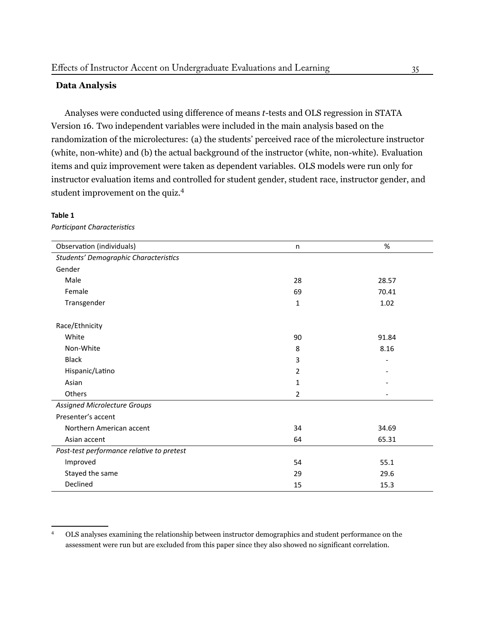# **Data Analysis**

Analyses were conducted using difference of means *t*-tests and OLS regression in STATA Version 16. Two independent variables were included in the main analysis based on the randomization of the microlectures: (a) the students' perceived race of the microlecture instructor (white, non-white) and (b) the actual background of the instructor (white, non-white). Evaluation items and quiz improvement were taken as dependent variables. OLS models were run only for instructor evaluation items and controlled for student gender, student race, instructor gender, and student improvement on the quiz.4

#### **Table 1**

*ParƟcipant CharacterisƟcs*

| Observation (individuals)                 | n              | $\%$  |
|-------------------------------------------|----------------|-------|
| Students' Demographic Characteristics     |                |       |
| Gender                                    |                |       |
| Male                                      | 28             | 28.57 |
| Female                                    | 69             | 70.41 |
| Transgender                               | 1              | 1.02  |
| Race/Ethnicity                            |                |       |
| White                                     | 90             | 91.84 |
| Non-White                                 | 8              | 8.16  |
| <b>Black</b>                              | 3              |       |
| Hispanic/Latino                           | 2              |       |
| Asian                                     | 1              |       |
| Others                                    | $\overline{2}$ |       |
| <b>Assigned Microlecture Groups</b>       |                |       |
| Presenter's accent                        |                |       |
| Northern American accent                  | 34             | 34.69 |
| Asian accent                              | 64             | 65.31 |
| Post-test performance relative to pretest |                |       |
| Improved                                  | 54             | 55.1  |
| Stayed the same                           | 29             | 29.6  |
| Declined                                  | 15             | 15.3  |

<sup>4</sup> OLS analyses examining the relationship between instructor demographics and student performance on the assessment were run but are excluded from this paper since they also showed no significant correlation.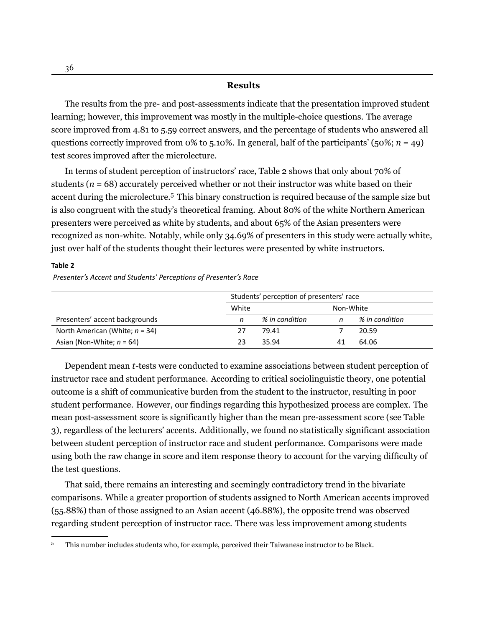#### **Results**

The results from the pre- and post-assessments indicate that the presentation improved student learning; however, this improvement was mostly in the multiple-choice questions. The average score improved from 4.81 to 5.59 correct answers, and the percentage of students who answered all questions correctly improved from  $\alpha$ % to 5.10%. In general, half of the participants' (50%; *n* = 49) test scores improved after the microlecture.

In terms of student perception of instructors' race, Table 2 shows that only about 70% of students  $(n = 68)$  accurately perceived whether or not their instructor was white based on their accent during the microlecture.<sup>5</sup> This binary construction is required because of the sample size but is also congruent with the study's theoretical framing. About 80% of the white Northern American presenters were perceived as white by students, and about 65% of the Asian presenters were recognized as non-white. Notably, while only 34.69% of presenters in this study were actually white, just over half of the students thought their lectures were presented by white instructors.

# **Table 2**

*Presenter's Accent and Students' PercepƟons of Presenter's Race*

|                                   | Students' perception of presenters' race |                |           |                |  |  |
|-----------------------------------|------------------------------------------|----------------|-----------|----------------|--|--|
|                                   | White                                    |                | Non-White |                |  |  |
| Presenters' accent backgrounds    | n                                        | % in condition |           | % in condition |  |  |
| North American (White; $n = 34$ ) | 27                                       | 79.41          |           | 20.59          |  |  |
| Asian (Non-White; $n = 64$ )      | 23                                       | 35.94          | 41        | 64.06          |  |  |

Dependent mean *t*-tests were conducted to examine associations between student perception of instructor race and student performance. According to critical sociolinguistic theory, one potential outcome is a shift of communicative burden from the student to the instructor, resulting in poor student performance. However, our findings regarding this hypothesized process are complex. The mean post-assessment score is significantly higher than the mean pre-assessment score (see Table 3), regardless of the lecturers' accents. Additionally, we found no statistically significant association between student perception of instructor race and student performance. Comparisons were made using both the raw change in score and item response theory to account for the varying difficulty of the test questions.

That said, there remains an interesting and seemingly contradictory trend in the bivariate comparisons. While a greater proportion of students assigned to North American accents improved (55.88%) than of those assigned to an Asian accent (46.88%), the opposite trend was observed regarding student perception of instructor race. There was less improvement among students

<sup>&</sup>lt;sup>5</sup> This number includes students who, for example, perceived their Taiwanese instructor to be Black.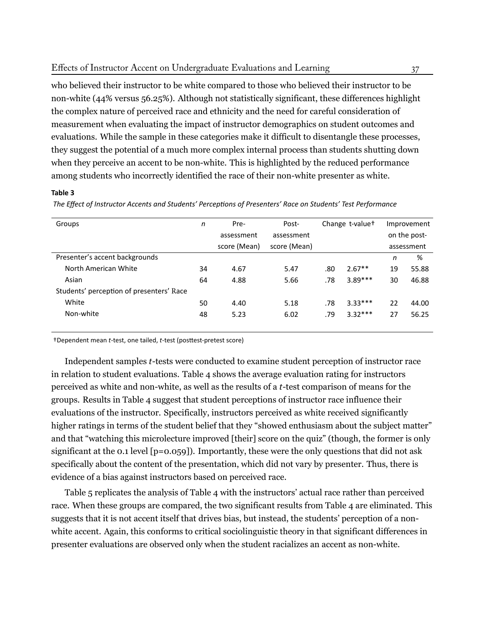who believed their instructor to be white compared to those who believed their instructor to be non-white (44% versus 56.25%). Although not statistically significant, these differences highlight the complex nature of perceived race and ethnicity and the need for careful consideration of measurement when evaluating the impact of instructor demographics on student outcomes and evaluations. While the sample in these categories make it difficult to disentangle these processes, they suggest the potential of a much more complex internal process than students shutting down when they perceive an accent to be non-white. This is highlighted by the reduced performance among students who incorrectly identified the race of their non-white presenter as white.

#### **Table 3**

| Groups                                   | n  | Pre-         | Post-        | Change t-value <sup>+</sup> |           | Improvement |              |
|------------------------------------------|----|--------------|--------------|-----------------------------|-----------|-------------|--------------|
|                                          |    | assessment   | assessment   |                             |           |             | on the post- |
|                                          |    | score (Mean) | score (Mean) |                             |           |             | assessment   |
| Presenter's accent backgrounds           |    |              |              |                             |           | n           | %            |
| North American White                     | 34 | 4.67         | 5.47         | .80                         | $2.67**$  | 19          | 55.88        |
| Asian                                    | 64 | 4.88         | 5.66         | .78                         | $3.89***$ | 30          | 46.88        |
| Students' perception of presenters' Race |    |              |              |                             |           |             |              |
| White                                    | 50 | 4.40         | 5.18         | .78                         | $3.33***$ | 22          | 44.00        |
| Non-white                                | 48 | 5.23         | 6.02         | .79                         | $3.32***$ | 27          | 56.25        |
|                                          |    |              |              |                             |           |             |              |

The Effect of Instructor Accents and Students' Perceptions of Presenters' Race on Students' Test Performance

†Dependent mean *t*-test, one tailed, *t*-test (posƩest-pretest score)

Independent samples *t*-tests were conducted to examine student perception of instructor race in relation to student evaluations. Table 4 shows the average evaluation rating for instructors perceived as white and non-white, as well as the results of a *t*-test comparison of means for the groups. Results in Table 4 suggest that student perceptions of instructor race influence their evaluations of the instructor. Specifically, instructors perceived as white received significantly higher ratings in terms of the student belief that they "showed enthusiasm about the subject matter" and that "watching this microlecture improved [their] score on the quiz" (though, the former is only significant at the 0.1 level  $[p=0.059]$ . Importantly, these were the only questions that did not ask specifically about the content of the presentation, which did not vary by presenter. Thus, there is evidence of a bias against instructors based on perceived race.

Table 5 replicates the analysis of Table 4 with the instructors' actual race rather than perceived race. When these groups are compared, the two significant results from Table 4 are eliminated. This suggests that it is not accent itself that drives bias, but instead, the students' perception of a nonwhite accent. Again, this conforms to critical sociolinguistic theory in that significant differences in presenter evaluations are observed only when the student racializes an accent as non-white.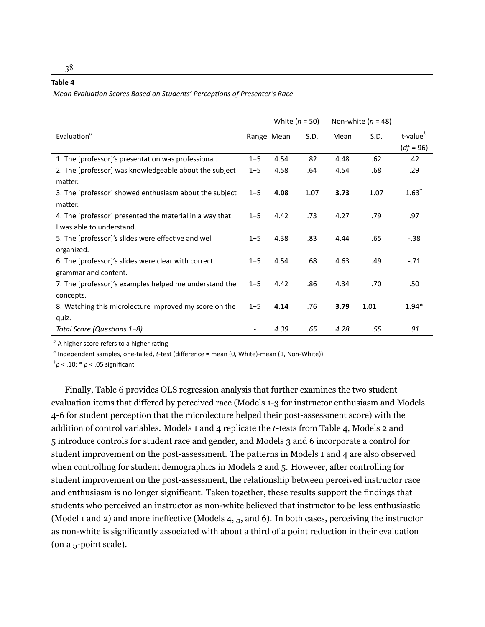#### **Table 4**

*Mean EvaluaƟon Scores Based on Students' PercepƟons of Presenter's Race*

|                                                         | White $(n = 50)$ |            | Non-white $(n = 48)$ |      |      |                      |
|---------------------------------------------------------|------------------|------------|----------------------|------|------|----------------------|
| Evaluation <sup>a</sup>                                 |                  | Range Mean | S.D.                 | Mean | S.D. | t-value <sup>b</sup> |
|                                                         |                  |            |                      |      |      | $(df = 96)$          |
| 1. The [professor]'s presentation was professional.     | $1 - 5$          | 4.54       | .82                  | 4.48 | .62  | .42                  |
| 2. The [professor] was knowledgeable about the subject  | $1 - 5$          | 4.58       | .64                  | 4.54 | .68  | .29                  |
| matter.                                                 |                  |            |                      |      |      |                      |
| 3. The [professor] showed enthusiasm about the subject  | $1 - 5$          | 4.08       | 1.07                 | 3.73 | 1.07 | $1.63^{\dagger}$     |
| matter.                                                 |                  |            |                      |      |      |                      |
| 4. The [professor] presented the material in a way that | $1 - 5$          | 4.42       | .73                  | 4.27 | .79  | .97                  |
| I was able to understand.                               |                  |            |                      |      |      |                      |
| 5. The [professor]'s slides were effective and well     | $1 - 5$          | 4.38       | .83                  | 4.44 | .65  | $-.38$               |
| organized.                                              |                  |            |                      |      |      |                      |
| 6. The [professor]'s slides were clear with correct     | $1 - 5$          | 4.54       | .68                  | 4.63 | .49  | $-.71$               |
| grammar and content.                                    |                  |            |                      |      |      |                      |
| 7. The [professor]'s examples helped me understand the  | $1 - 5$          | 4.42       | .86                  | 4.34 | .70  | .50                  |
| concepts.                                               |                  |            |                      |      |      |                      |
| 8. Watching this microlecture improved my score on the  | $1 - 5$          | 4.14       | .76                  | 3.79 | 1.01 | $1.94*$              |
| quiz.                                                   |                  |            |                      |      |      |                      |
| Total Score (Questions 1-8)                             |                  | 4.39       | .65                  | 4.28 | .55  | .91                  |

<sup>*a*</sup> A higher score refers to a higher rating

*b* Independent samples, one-tailed, *t*-test (difference = mean (0, White)-mean (1, Non-White))

† *p* < .10; \* *p* < .05 significant

Finally, Table 6 provides OLS regression analysis that further examines the two student evaluation items that differed by perceived race (Models 1-3 for instructor enthusiasm and Models 4-6 for student perception that the microlecture helped their post-assessment score) with the addition of control variables. Models 1 and 4 replicate the *t*-tests from Table 4, Models 2 and 5 introduce controls for student race and gender, and Models 3 and 6 incorporate a control for student improvement on the post-assessment. The patterns in Models 1 and 4 are also observed when controlling for student demographics in Models 2 and 5. However, after controlling for student improvement on the post-assessment, the relationship between perceived instructor race and enthusiasm is no longer significant. Taken together, these results support the findings that students who perceived an instructor as non-white believed that instructor to be less enthusiastic (Model 1 and 2) and more ineffective (Models 4, 5, and 6). In both cases, perceiving the instructor as non-white is significantly associated with about a third of a point reduction in their evaluation (on a 5-point scale).

38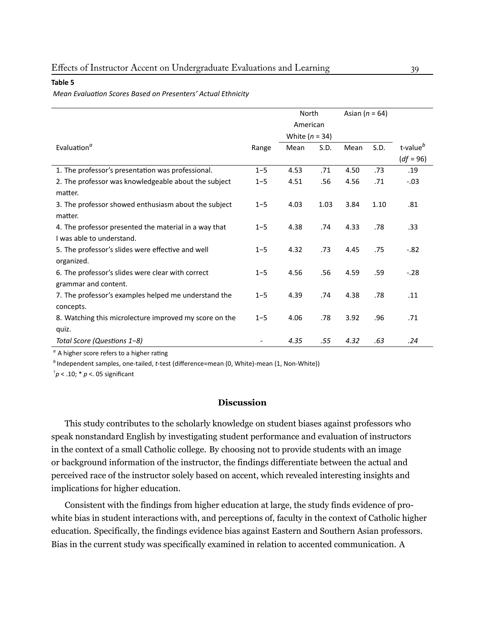#### **Table 5**

#### *Mean EvaluaƟon Scores Based on Presenters' Actual Ethnicity*

|                                                        |         | North<br>American        |      | Asian ( $n = 64$ ) |      |                      |
|--------------------------------------------------------|---------|--------------------------|------|--------------------|------|----------------------|
| Evaluation <sup>a</sup>                                |         | White $(n = 34)$<br>Mean | S.D. | Mean               | S.D. | t-value <sup>b</sup> |
|                                                        | Range   |                          |      |                    |      | $(df = 96)$          |
| 1. The professor's presentation was professional.      | $1 - 5$ | 4.53                     | .71  | 4.50               | .73  | .19                  |
| 2. The professor was knowledgeable about the subject   | $1 - 5$ | 4.51                     | .56  | 4.56               | .71  | $-.03$               |
| matter.                                                |         |                          |      |                    |      |                      |
| 3. The professor showed enthusiasm about the subject   | $1 - 5$ | 4.03                     | 1.03 | 3.84               | 1.10 | .81                  |
| matter.                                                |         |                          |      |                    |      |                      |
| 4. The professor presented the material in a way that  | $1 - 5$ | 4.38                     | .74  | 4.33               | .78  | .33                  |
| I was able to understand.                              |         |                          |      |                    |      |                      |
| 5. The professor's slides were effective and well      | $1 - 5$ | 4.32                     | .73  | 4.45               | .75  | $-.82$               |
| organized.                                             |         |                          |      |                    |      |                      |
| 6. The professor's slides were clear with correct      | $1 - 5$ | 4.56                     | .56  | 4.59               | .59  | $-.28$               |
| grammar and content.                                   |         |                          |      |                    |      |                      |
| 7. The professor's examples helped me understand the   | $1 - 5$ | 4.39                     | .74  | 4.38               | .78  | .11                  |
| concepts.                                              |         |                          |      |                    |      |                      |
| 8. Watching this microlecture improved my score on the | $1 - 5$ | 4.06                     | .78  | 3.92               | .96  | .71                  |
| quiz.                                                  |         |                          |      |                    |      |                      |
| Total Score (Questions 1-8)                            |         | 4.35                     | .55  | 4.32               | .63  | .24                  |

<sup>*a*</sup> A higher score refers to a higher rating

*b* Independent samples, one-tailed, *t*-test (difference=mean (0, White)-mean (1, Non-White))

† *p* < .10; \* *p* <. 05 significant

# **Discussion**

This study contributes to the scholarly knowledge on student biases against professors who speak nonstandard English by investigating student performance and evaluation of instructors in the context of a small Catholic college. By choosing not to provide students with an image or background information of the instructor, the findings differentiate between the actual and perceived race of the instructor solely based on accent, which revealed interesting insights and implications for higher education.

Consistent with the findings from higher education at large, the study finds evidence of prowhite bias in student interactions with, and perceptions of, faculty in the context of Catholic higher education. Specifically, the findings evidence bias against Eastern and Southern Asian professors. Bias in the current study was specifically examined in relation to accented communication. A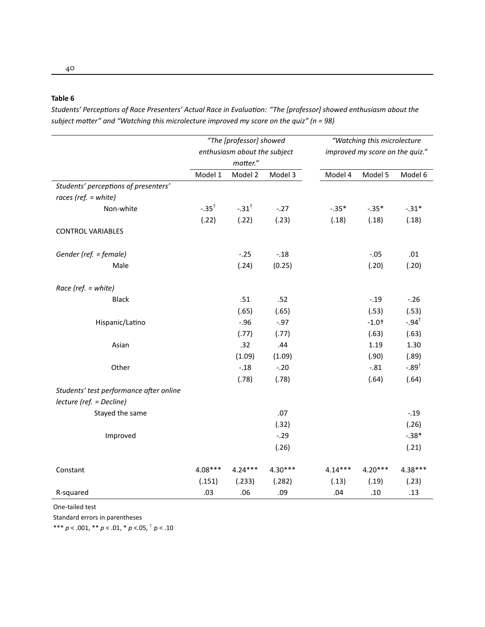#### **Table 6**

*Students' Perceptions of Race Presenters' Actual Race in Evaluation: "The [professor] showed enthusiasm about the* subject matter" and "Watching this microlecture improved my score on the quiz" (n = 98)

|                                         | "The [professor] showed<br>enthusiasm about the subject<br>matter." |                  |           |           | "Watching this microlecture<br>improved my score on the quiz." |                  |
|-----------------------------------------|---------------------------------------------------------------------|------------------|-----------|-----------|----------------------------------------------------------------|------------------|
|                                         | Model 1                                                             | Model 2          | Model 3   | Model 4   | Model 5                                                        | Model 6          |
| Students' perceptions of presenters'    |                                                                     |                  |           |           |                                                                |                  |
| races (ref. $=$ white)                  |                                                                     |                  |           |           |                                                                |                  |
| Non-white                               | $-.35^{\dagger}$                                                    | $-.31^{\dagger}$ | $-.27$    | $-.35*$   | $-.35*$                                                        | $-.31*$          |
|                                         | (.22)                                                               | (.22)            | (.23)     | (.18)     | (.18)                                                          | (.18)            |
| <b>CONTROL VARIABLES</b>                |                                                                     |                  |           |           |                                                                |                  |
| Gender (ref. = female)                  |                                                                     | $-.25$           | $-.18$    |           | $-.05$                                                         | .01              |
| Male                                    |                                                                     | (.24)            | (0.25)    |           | (.20)                                                          | (.20)            |
| Race (ref. = white)                     |                                                                     |                  |           |           |                                                                |                  |
| <b>Black</b>                            |                                                                     | .51              | .52       |           | $-.19$                                                         | $-.26$           |
|                                         |                                                                     | (.65)            | (.65)     |           | (.53)                                                          | (.53)            |
| Hispanic/Latino                         |                                                                     | $-.96$           | $-0.97$   |           | $-1.0+$                                                        | $-.94^{\dagger}$ |
|                                         |                                                                     | (.77)            | (.77)     |           | (.63)                                                          | (.63)            |
| Asian                                   |                                                                     | .32              | .44       |           | 1.19                                                           | 1.30             |
|                                         |                                                                     | (1.09)           | (1.09)    |           | (.90)                                                          | (.89)            |
| Other                                   |                                                                     | $-.18$           | $-.20$    |           | $-.81$                                                         | $-.89^{\dagger}$ |
|                                         |                                                                     | (.78)            | (.78)     |           | (.64)                                                          | (.64)            |
| Students' test performance after online |                                                                     |                  |           |           |                                                                |                  |
| lecture (ref. = Decline)                |                                                                     |                  |           |           |                                                                |                  |
| Stayed the same                         |                                                                     |                  | .07       |           |                                                                | $-.19$           |
|                                         |                                                                     |                  | (.32)     |           |                                                                | (.26)            |
| Improved                                |                                                                     |                  | $-.29$    |           |                                                                | $-.38*$          |
|                                         |                                                                     |                  | (.26)     |           |                                                                | (.21)            |
| Constant                                | 4.08***                                                             | $4.24***$        | $4.30***$ | $4.14***$ | $4.20***$                                                      | 4.38***          |
|                                         | (.151)                                                              | (.233)           | (.282)    | (.13)     | (.19)                                                          | (.23)            |
| R-squared                               | .03                                                                 | .06              | .09       | .04       | .10                                                            | .13              |

One-tailed test

Standard errors in parentheses

\*\*\* *p* < .001, \*\* *p* < .01, \* *p* <.05, † p < .10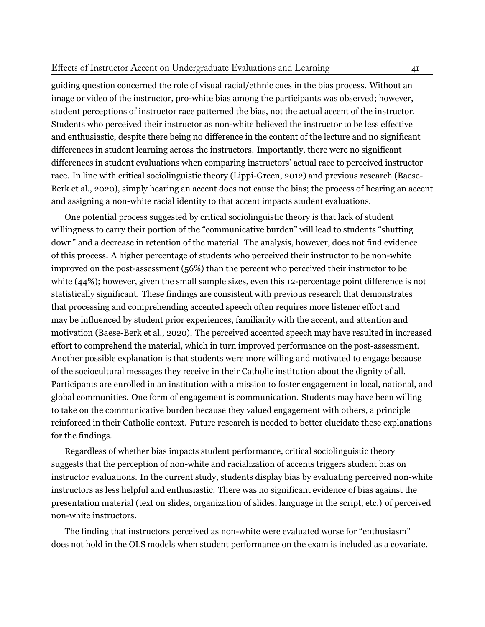## Effects of Instructor Accent on Undergraduate Evaluations and Learning 41

guiding question concerned the role of visual racial/ethnic cues in the bias process. Without an image or video of the instructor, pro-white bias among the participants was observed; however, student perceptions of instructor race patterned the bias, not the actual accent of the instructor. Students who perceived their instructor as non-white believed the instructor to be less effective and enthusiastic, despite there being no difference in the content of the lecture and no significant differences in student learning across the instructors. Importantly, there were no significant differences in student evaluations when comparing instructors' actual race to perceived instructor race. In line with critical sociolinguistic theory (Lippi-Green, [2012\)](#page-30-3) and previous research [\(Baese-](#page-28-3)[Berk et al.](#page-28-3), [2020\)](#page-28-3), simply hearing an accent does not cause the bias; the process of hearing an accent and assigning a non-white racial identity to that accent impacts student evaluations.

One potential process suggested by critical sociolinguistic theory is that lack of student willingness to carry their portion of the "communicative burden" will lead to students "shutting down" and a decrease in retention of the material. The analysis, however, does not find evidence of this process. A higher percentage of students who perceived their instructor to be non-white improved on the post-assessment (56%) than the percent who perceived their instructor to be white (44%); however, given the small sample sizes, even this 12-percentage point difference is not statistically significant. These findings are consistent with previous research that demonstrates that processing and comprehending accented speech often requires more listener effort and may be influenced by student prior experiences, familiarity with the accent, and attention and motivation [\(Baese-Berk et al.,](#page-28-3) [2020\)](#page-28-3). The perceived accented speech may have resulted in increased effort to comprehend the material, which in turn improved performance on the post-assessment. Another possible explanation is that students were more willing and motivated to engage because of the sociocultural messages they receive in their Catholic institution about the dignity of all. Participants are enrolled in an institution with a mission to foster engagement in local, national, and global communities. One form of engagement is communication. Students may have been willing to take on the communicative burden because they valued engagement with others, a principle reinforced in their Catholic context. Future research is needed to better elucidate these explanations for the findings.

Regardless of whether bias impacts student performance, critical sociolinguistic theory suggests that the perception of non-white and racialization of accents triggers student bias on instructor evaluations. In the current study, students display bias by evaluating perceived non-white instructors as less helpful and enthusiastic. There was no significant evidence of bias against the presentation material (text on slides, organization of slides, language in the script, etc.) of perceived non-white instructors.

The finding that instructors perceived as non-white were evaluated worse for "enthusiasm" does not hold in the OLS models when student performance on the exam is included as a covariate.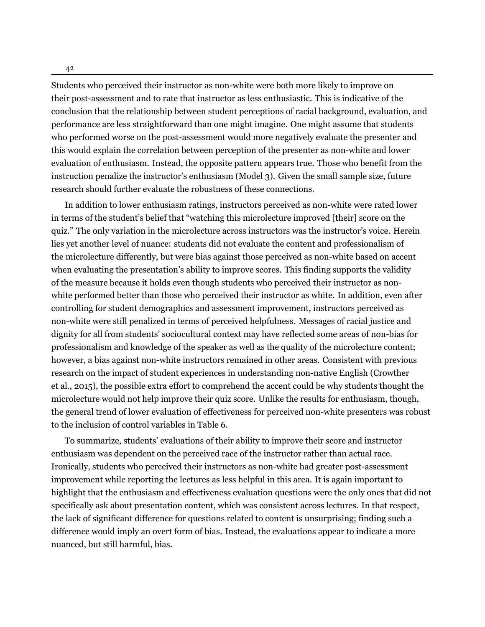Students who perceived their instructor as non-white were both more likely to improve on

their post-assessment and to rate that instructor as less enthusiastic. This is indicative of the conclusion that the relationship between student perceptions of racial background, evaluation, and performance are less straightforward than one might imagine. One might assume that students who performed worse on the post-assessment would more negatively evaluate the presenter and this would explain the correlation between perception of the presenter as non-white and lower evaluation of enthusiasm. Instead, the opposite pattern appears true. Those who benefit from the instruction penalize the instructor's enthusiasm (Model 3). Given the small sample size, future research should further evaluate the robustness of these connections.

In addition to lower enthusiasm ratings, instructors perceived as non-white were rated lower in terms of the student's belief that "watching this microlecture improved [their] score on the quiz." The only variation in the microlecture across instructors was the instructor's voice. Herein lies yet another level of nuance: students did not evaluate the content and professionalism of the microlecture differently, but were bias against those perceived as non-white based on accent when evaluating the presentation's ability to improve scores. This finding supports the validity of the measure because it holds even though students who perceived their instructor as nonwhite performed better than those who perceived their instructor as white. In addition, even after controlling for student demographics and assessment improvement, instructors perceived as non-white were still penalized in terms of perceived helpfulness. Messages of racial justice and dignity for all from students' sociocultural context may have reflected some areas of non-bias for professionalism and knowledge of the speaker as well as the quality of the microlecture content; however, a bias against non-white instructors remained in other areas. Consistent with previous research on the impact of student experiences in understanding non-native English ([Crowther](#page-28-4) [et al.](#page-28-4), [2015\)](#page-28-4), the possible extra effort to comprehend the accent could be why students thought the microlecture would not help improve their quiz score. Unlike the results for enthusiasm, though, the general trend of lower evaluation of effectiveness for perceived non-white presenters was robust to the inclusion of control variables in Table 6.

To summarize, students' evaluations of their ability to improve their score and instructor enthusiasm was dependent on the perceived race of the instructor rather than actual race. Ironically, students who perceived their instructors as non-white had greater post-assessment improvement while reporting the lectures as less helpful in this area. It is again important to highlight that the enthusiasm and effectiveness evaluation questions were the only ones that did not specifically ask about presentation content, which was consistent across lectures. In that respect, the lack of significant difference for questions related to content is unsurprising; finding such a difference would imply an overt form of bias. Instead, the evaluations appear to indicate a more nuanced, but still harmful, bias.

42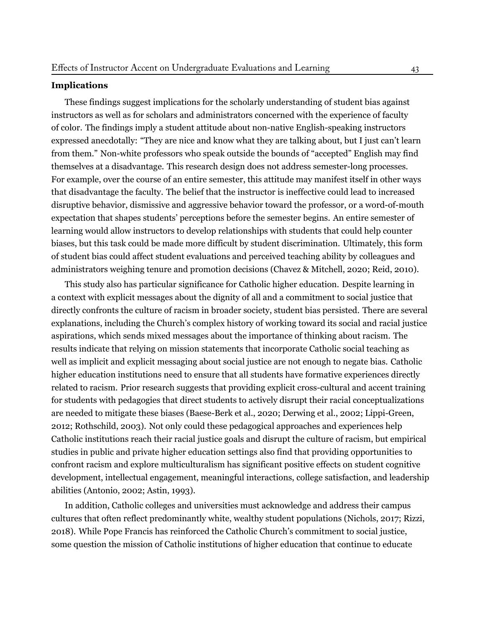#### **Implications**

These findings suggest implications for the scholarly understanding of student bias against instructors as well as for scholars and administrators concerned with the experience of faculty of color. The findings imply a student attitude about non-native English-speaking instructors expressed anecdotally: "They are nice and know what they are talking about, but I just can't learn from them." Non-white professors who speak outside the bounds of "accepted" English may find themselves at a disadvantage. This research design does not address semester-long processes. For example, over the course of an entire semester, this attitude may manifest itself in other ways that disadvantage the faculty. The belief that the instructor is ineffective could lead to increased disruptive behavior, dismissive and aggressive behavior toward the professor, or a word-of-mouth expectation that shapes students' perceptions before the semester begins. An entire semester of learning would allow instructors to develop relationships with students that could help counter biases, but this task could be made more difficult by student discrimination. Ultimately, this form of student bias could affect student evaluations and perceived teaching ability by colleagues and administrators weighing tenure and promotion decisions [\(Chavez & Mitchell,](#page-28-1) [2020;](#page-28-1) [Reid](#page-31-2), [2010](#page-31-2)).

This study also has particular significance for Catholic higher education. Despite learning in a context with explicit messages about the dignity of all and a commitment to social justice that directly confronts the culture of racism in broader society, student bias persisted. There are several explanations, including the Church's complex history of working toward its social and racial justice aspirations, which sends mixed messages about the importance of thinking about racism. The results indicate that relying on mission statements that incorporate Catholic social teaching as well as implicit and explicit messaging about social justice are not enough to negate bias. Catholic higher education institutions need to ensure that all students have formative experiences directly related to racism. Prior research suggests that providing explicit cross-cultural and accent training for students with pedagogies that direct students to actively disrupt their racial conceptualizations are needed to mitigate these biases [\(Baese-Berk et al.,](#page-28-3) [2020;](#page-28-3) [Derwing et al.,](#page-28-5) [2002](#page-28-5); [Lippi-Green,](#page-30-3) [2012](#page-30-3); [Rothschild,](#page-32-7) [2003\)](#page-32-7). Not only could these pedagogical approaches and experiences help Catholic institutions reach their racial justice goals and disrupt the culture of racism, but empirical studies in public and private higher education settings also find that providing opportunities to confront racism and explore multiculturalism has significant positive effects on student cognitive development, intellectual engagement, meaningful interactions, college satisfaction, and leadership abilities ([Antonio,](#page-28-10) [2002;](#page-28-10) [Astin](#page-28-11), [1993\)](#page-28-11).

In addition, Catholic colleges and universities must acknowledge and address their campus cultures that often reflect predominantly white, wealthy student populations [\(Nichols](#page-31-3), [2017;](#page-31-3) [Rizzi](#page-32-3), [2018\)](#page-32-3). While Pope Francis has reinforced the Catholic Church's commitment to social justice, some question the mission of Catholic institutions of higher education that continue to educate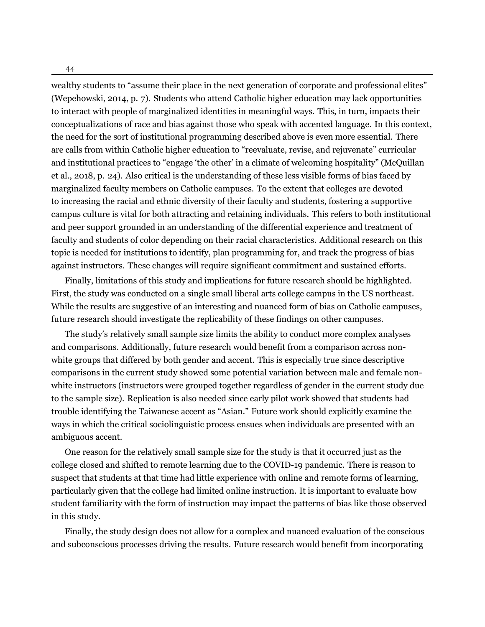44

wealthy students to "assume their place in the next generation of corporate and professional elites" (Wepehowski, [2014,](#page-33-1) p. 7). Students who attend Catholic higher education may lack opportunities to interact with people of marginalized identities in meaningful ways. This, in turn, impacts their conceptualizations of race and bias against those who speak with accented language. In this context, the need for the sort of institutional programming described above is even more essential. There are calls from within Catholic higher education to "reevaluate, revise, and rejuvenate" curricular and institutional practices to "engage 'the other' in a climate of welcoming hospitality" (McQuillan et al., [2018,](#page-31-13) p. 24). Also critical is the understanding of these less visible forms of bias faced by marginalized faculty members on Catholic campuses. To the extent that colleges are devoted to increasing the racial and ethnic diversity of their faculty and students, fostering a supportive campus culture is vital for both attracting and retaining individuals. This refers to both institutional and peer support grounded in an understanding of the differential experience and treatment of faculty and students of color depending on their racial characteristics. Additional research on this topic is needed for institutions to identify, plan programming for, and track the progress of bias against instructors. These changes will require significant commitment and sustained efforts.

Finally, limitations of this study and implications for future research should be highlighted. First, the study was conducted on a single small liberal arts college campus in the US northeast. While the results are suggestive of an interesting and nuanced form of bias on Catholic campuses, future research should investigate the replicability of these findings on other campuses.

The study's relatively small sample size limits the ability to conduct more complex analyses and comparisons. Additionally, future research would benefit from a comparison across nonwhite groups that differed by both gender and accent. This is especially true since descriptive comparisons in the current study showed some potential variation between male and female nonwhite instructors (instructors were grouped together regardless of gender in the current study due to the sample size). Replication is also needed since early pilot work showed that students had trouble identifying the Taiwanese accent as "Asian." Future work should explicitly examine the ways in which the critical sociolinguistic process ensues when individuals are presented with an ambiguous accent.

One reason for the relatively small sample size for the study is that it occurred just as the college closed and shifted to remote learning due to the COVID-19 pandemic. There is reason to suspect that students at that time had little experience with online and remote forms of learning, particularly given that the college had limited online instruction. It is important to evaluate how student familiarity with the form of instruction may impact the patterns of bias like those observed in this study.

Finally, the study design does not allow for a complex and nuanced evaluation of the conscious and subconscious processes driving the results. Future research would benefit from incorporating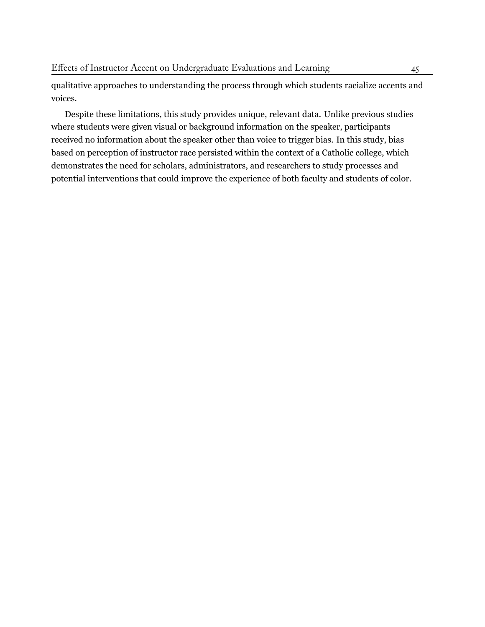qualitative approaches to understanding the process through which students racialize accents and voices.

Despite these limitations, this study provides unique, relevant data. Unlike previous studies where students were given visual or background information on the speaker, participants received no information about the speaker other than voice to trigger bias. In this study, bias based on perception of instructor race persisted within the context of a Catholic college, which demonstrates the need for scholars, administrators, and researchers to study processes and potential interventions that could improve the experience of both faculty and students of color.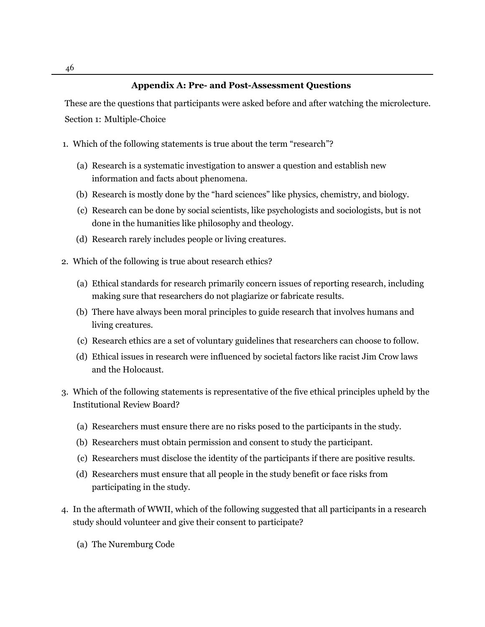# **Appendix A: Pre- and Post-Assessment Questions**

These are the questions that participants were asked before and after watching the microlecture. Section 1: Multiple-Choice

- 1. Which of the following statements is true about the term "research"?
	- (a) Research is a systematic investigation to answer a question and establish new information and facts about phenomena.
	- (b) Research is mostly done by the "hard sciences" like physics, chemistry, and biology.
	- (c) Research can be done by social scientists, like psychologists and sociologists, but is not done in the humanities like philosophy and theology.
	- (d) Research rarely includes people or living creatures.
- 2. Which of the following is true about research ethics?
	- (a) Ethical standards for research primarily concern issues of reporting research, including making sure that researchers do not plagiarize or fabricate results.
	- (b) There have always been moral principles to guide research that involves humans and living creatures.
	- (c) Research ethics are a set of voluntary guidelines that researchers can choose to follow.
	- (d) Ethical issues in research were influenced by societal factors like racist Jim Crow laws and the Holocaust.
- 3. Which of the following statements is representative of the five ethical principles upheld by the Institutional Review Board?
	- (a) Researchers must ensure there are no risks posed to the participants in the study.
	- (b) Researchers must obtain permission and consent to study the participant.
	- (c) Researchers must disclose the identity of the participants if there are positive results.
	- (d) Researchers must ensure that all people in the study benefit or face risks from participating in the study.
- 4. In the aftermath of WWII, which of the following suggested that all participants in a research study should volunteer and give their consent to participate?
	- (a) The Nuremburg Code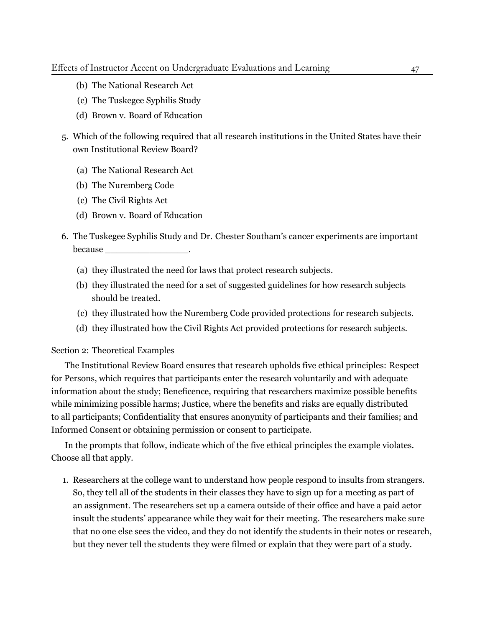- (b) The National Research Act
- (c) The Tuskegee Syphilis Study
- (d) Brown v. Board of Education
- 5. Which of the following required that all research institutions in the United States have their own Institutional Review Board?
	- (a) The National Research Act
	- (b) The Nuremberg Code
	- (c) The Civil Rights Act
	- (d) Brown v. Board of Education
- 6. The Tuskegee Syphilis Study and Dr. Chester Southam's cancer experiments are important because  $\Box$ 
	- (a) they illustrated the need for laws that protect research subjects.
	- (b) they illustrated the need for a set of suggested guidelines for how research subjects should be treated.
	- (c) they illustrated how the Nuremberg Code provided protections for research subjects.
	- (d) they illustrated how the Civil Rights Act provided protections for research subjects.

#### Section 2: Theoretical Examples

The Institutional Review Board ensures that research upholds five ethical principles: Respect for Persons, which requires that participants enter the research voluntarily and with adequate information about the study; Beneficence, requiring that researchers maximize possible benefits while minimizing possible harms; Justice, where the benefits and risks are equally distributed to all participants; Confidentiality that ensures anonymity of participants and their families; and Informed Consent or obtaining permission or consent to participate.

In the prompts that follow, indicate which of the five ethical principles the example violates. Choose all that apply.

1. Researchers at the college want to understand how people respond to insults from strangers. So, they tell all of the students in their classes they have to sign up for a meeting as part of an assignment. The researchers set up a camera outside of their office and have a paid actor insult the students' appearance while they wait for their meeting. The researchers make sure that no one else sees the video, and they do not identify the students in their notes or research, but they never tell the students they were filmed or explain that they were part of a study.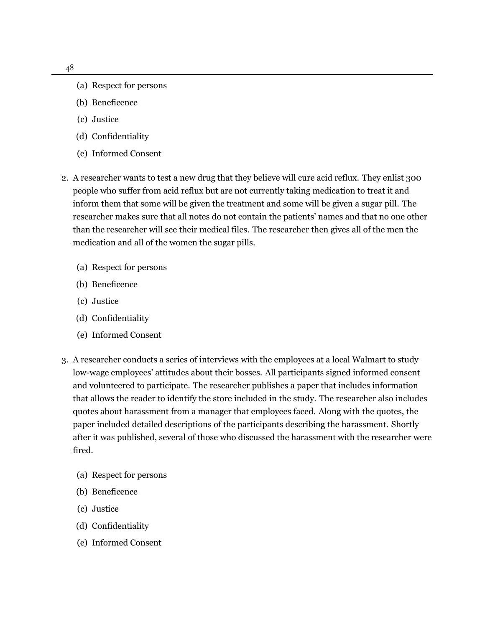- (a) Respect for persons
- (b) Beneficence
- (c) Justice
- (d) Confidentiality
- (e) Informed Consent
- 2. A researcher wants to test a new drug that they believe will cure acid reflux. They enlist 300 people who suffer from acid reflux but are not currently taking medication to treat it and inform them that some will be given the treatment and some will be given a sugar pill. The researcher makes sure that all notes do not contain the patients' names and that no one other than the researcher will see their medical files. The researcher then gives all of the men the medication and all of the women the sugar pills.
	- (a) Respect for persons
	- (b) Beneficence
	- (c) Justice
	- (d) Confidentiality
	- (e) Informed Consent
- 3. A researcher conducts a series of interviews with the employees at a local Walmart to study low-wage employees' attitudes about their bosses. All participants signed informed consent and volunteered to participate. The researcher publishes a paper that includes information that allows the reader to identify the store included in the study. The researcher also includes quotes about harassment from a manager that employees faced. Along with the quotes, the paper included detailed descriptions of the participants describing the harassment. Shortly after it was published, several of those who discussed the harassment with the researcher were fired.
	- (a) Respect for persons
	- (b) Beneficence
	- (c) Justice
	- (d) Confidentiality
	- (e) Informed Consent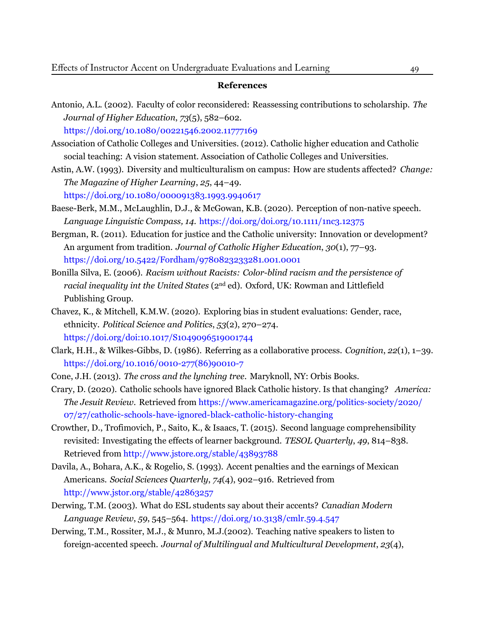#### **References**

<span id="page-28-10"></span>Antonio, A.L. (2002). Faculty of color reconsidered: Reassessing contributions to scholarship. *The Journal of Higher Education*, *73*(5), 582–602.

<https://doi.org/10.1080/00221546.2002.11777169>

- <span id="page-28-7"></span>Association of Catholic Colleges and Universities. (2012). Catholic higher education and Catholic social teaching: A vision statement. Association of Catholic Colleges and Universities.
- <span id="page-28-11"></span>Astin, A.W. (1993). Diversity and multiculturalism on campus: How are students affected? *Change: The Magazine of Higher Learning*, *25*, 44–49.

<https://doi.org/10.1080/000091383.1993.9940617>

- <span id="page-28-3"></span>Baese-Berk, M.M., McLaughlin, D.J., & McGowan, K.B. (2020). Perception of non-native speech. *Language Linguistic Compass, 14*. <https://doi.org/doi.org/10.1111/1nc3.12375>
- <span id="page-28-8"></span>Bergman, R. (2011). Education for justice and the Catholic university: Innovation or development? An argument from tradition. *Journal of Catholic Higher Education*, *30*(1), 77–93. <https://doi.org/10.5422/Fordham/9780823233281.001.0001>
- <span id="page-28-0"></span>Bonilla Silva, E. (2006). *Racism without Racists: Color-blind racism and the persistence of racial inequality int the United States* (2nd ed). Oxford, UK: Rowman and Littlefield Publishing Group.
- <span id="page-28-1"></span>Chavez, K., & Mitchell, K.M.W. (2020). Exploring bias in student evaluations: Gender, race, ethnicity. *Political Science and Politics*, *53*(2), 270–274. <https://doi.org/doi:10.1017/S1049096519001744>
- <span id="page-28-6"></span>Clark, H.H., & Wilkes-Gibbs, D. (1986). Referring as a collaborative process. *Cognition*, *22*(1), 1–39. [https://doi.org/10.1016/0010-277\(86\)90010-7](https://doi.org/10.1016/0010-277(86)90010-7)
- Cone, J.H. (2013). *The cross and the lynching tree*. Maryknoll, NY: Orbis Books.
- <span id="page-28-9"></span>Crary, D. (2020). Catholic schools have ignored Black Catholic history. Is that changing? *America: The Jesuit Review*. Retrieved from [https://www.americamagazine.org/politics-society/2020/](https://www.americamagazine.org/politics-society/2020/07/27/catholic-schools-have-ignored-black-catholic-history-changing) [07/27/catholic-schools-have-ignored-black-catholic-history-changing](https://www.americamagazine.org/politics-society/2020/07/27/catholic-schools-have-ignored-black-catholic-history-changing)
- <span id="page-28-4"></span>Crowther, D., Trofimovich, P., Saito, K., & Isaacs, T. (2015). Second language comprehensibility revisited: Investigating the effects of learner background. *TESOL Quarterly*, *49*, 814–838. Retrieved from <http://www.jstore.org/stable/43893788>
- Davila, A., Bohara, A.K., & Rogelio, S. (1993). Accent penalties and the earnings of Mexican Americans. *Social Sciences Quarterly*, *74*(4), 902–916. [Retrieved](http://www.jstor.org/stable/42863257) from <http://www.jstor.org/stable/42863257>
- <span id="page-28-2"></span>Derwing, T.M. (2003). What do ESL students say about their accents? *Canadian Modern Language Review*, *59*, 545–564. <https://doi.org/10.3138/cmlr.59.4.547>
- <span id="page-28-5"></span>Derwing, T.M., Rossiter, M.J., & Munro, M.J.(2002). Teaching native speakers to listen to foreign-accented speech. *Journal of Multilingual and Multicultural Development*, *23*(4),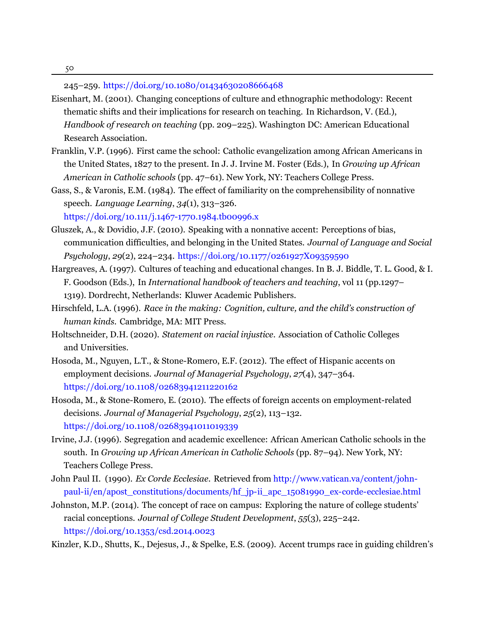245–259. [https://doi.org/10.1080/01434630208666468](https://doi.org/http://doi.org/10.1080/01434630208666468)

- <span id="page-29-10"></span>Eisenhart, M. (2001). Changing conceptions of culture and ethnographic methodology: Recent thematic shifts and their implications for research on teaching. In Richardson, V. (Ed.), *Handbook of research on teaching* (pp. 209–225). Washington DC: American Educational Research Association.
- <span id="page-29-2"></span>Franklin, V.P. (1996). First came the school: Catholic evangelization among African Americans in the United States, 1827 to the present. In J. J. Irvine M. Foster (Eds.), In *Growing up African American in Catholic schools* (pp. 47–61). New York, NY: Teachers College Press.
- <span id="page-29-9"></span>Gass, S., & Varonis, E.M. (1984). The effect of familiarity on the comprehensibility of nonnative speech. *Language Learning*, *34*(1), 313–326.

<https://doi.org/10.111/j.1467-1770.1984.tb00996.x>

- <span id="page-29-5"></span>Gluszek, A., & Dovidio, J.F. (2010). Speaking with a nonnative accent: Perceptions of bias, communication difficulties, and belonging in the United States. *Journal of Language and Social Psychology*, *29*(2), 224–234. <https://doi.org/10.1177/0261927X09359590>
- <span id="page-29-11"></span>Hargreaves, A. (1997). Cultures of teaching and educational changes. In B. J. Biddle, T. L. Good, & I. F. Goodson (Eds.), In *International handbook of teachers and teaching*, vol 11 (pp.1297– 1319). Dordrecht, Netherlands: Kluwer Academic Publishers.
- <span id="page-29-3"></span>Hirschfeld, L.A. (1996). *Race in the making: Cognition, culture, and the child's construction of human kinds*. Cambridge, MA: MIT Press.
- <span id="page-29-0"></span>Holtschneider, D.H. (2020). *Statement on racial injustice*. Association of Catholic Colleges and Universities.
- <span id="page-29-8"></span>Hosoda, M., Nguyen, L.T., & Stone-Romero, E.F. (2012). The effect of Hispanic accents on employment decisions. *Journal of Managerial Psychology*, *27*(4), 347–364. <https://doi.org/10.1108/02683941211220162>
- <span id="page-29-7"></span>Hosoda, M., & Stone-Romero, E. (2010). The effects of foreign accents on employment-related decisions. *Journal of Managerial Psychology*, *25*(2), 113–132. <https://doi.org/10.1108/02683941011019339>
- <span id="page-29-12"></span>Irvine, J.J. (1996). Segregation and academic excellence: African American Catholic schools in the south. In *Growing up African American in Catholic Schools* (pp. 87–94). New York, NY: Teachers College Press.
- <span id="page-29-1"></span>John Paul II. (1990). *Ex Corde Ecclesiae*. Retrieved from [http://www.vatican.va/content/john](http://www.vatican.va/content/john-paul-ii/en/apost_constitutions/documents/hf_jp-ii_apc_15081990_ex-corde-ecclesiae.html)[paul-ii/en/apost\\_constitutions/documents/hf\\_jp-ii\\_apc\\_15081990\\_ex-corde-ecclesiae.html](http://www.vatican.va/content/john-paul-ii/en/apost_constitutions/documents/hf_jp-ii_apc_15081990_ex-corde-ecclesiae.html)
- <span id="page-29-4"></span>Johnston, M.P. (2014). The concept of race on campus: Exploring the nature of college students' racial conceptions. *Journal of College Student Development*, *55*(3), 225–242. <https://doi.org/10.1353/csd.2014.0023>

<span id="page-29-6"></span>Kinzler, K.D., Shutts, K., Dejesus, J., & Spelke, E.S. (2009). Accent trumps race in guiding children's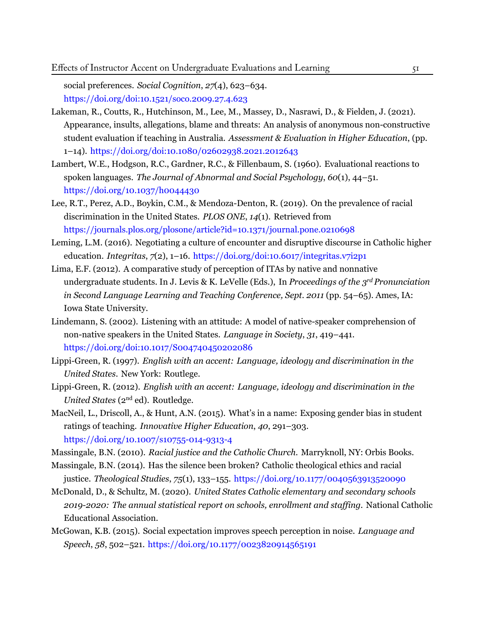social preferences. *Social Cognition*, *27*(4), 623–634. <https://doi.org/doi:10.1521/soco.2009.27.4.623>

- <span id="page-30-8"></span>Lakeman, R., Coutts, R., Hutchinson, M., Lee, M., Massey, D., Nasrawi, D., & Fielden, J. (2021). Appearance, insults, allegations, blame and threats: An analysis of anonymous non-constructive student evaluation if teaching in Australia. *Assessment & Evaluation in Higher Education*, (pp. 1–14). <https://doi.org/doi:10.1080/02602938.2021.2012643>
- <span id="page-30-4"></span>Lambert, W.E., Hodgson, R.C., Gardner, R.C., & Fillenbaum, S. (1960). Evaluational reactions to spoken languages. *The Journal of Abnormal and Social Psychology*, *60*(1), 44–51. <https://doi.org/10.1037/h0044430>
- <span id="page-30-0"></span>Lee, R.T., Perez, A.D., Boykin, C.M., & Mendoza-Denton, R. (2019). On the prevalence of racial discrimination in the United States. *PLOS ONE*, *14*(1). [Retrieved from](https://journals.plos.org/plosone/article?id=10.1371/journal.pone.0210698) <https://journals.plos.org/plosone/article?id=10.1371/journal.pone.0210698>
- <span id="page-30-10"></span>Leming, L.M. (2016). Negotiating a culture of encounter and disruptive discourse in Catholic higher education. *Integritas*, *7*(2), 1–16. <https://doi.org/doi:10.6017/integritas.v7i2p1>
- <span id="page-30-7"></span>Lima, E.F. (2012). A comparative study of perception of ITAs by native and nonnative undergraduate students. In J. Levis & K. LeVelle (Eds.), In *Proceedings of the 3 rd Pronunciation in Second Language Learning and Teaching Conference, Sept. 2011* (pp. 54–65). Ames, IA: Iowa State University.
- <span id="page-30-9"></span>Lindemann, S. (2002). Listening with an attitude: A model of native-speaker comprehension of non-native speakers in the United States. *Language in Society*, *31*, 419–441. <https://doi.org/doi:10.1017/S004740450202086>
- <span id="page-30-5"></span>Lippi-Green, R. (1997). *English with an accent: Language, ideology and discrimination in the United States*. New York: Routlege.
- <span id="page-30-3"></span>Lippi-Green, R. (2012). *English with an accent: Language, ideology and discrimination in the United States* (2<sup>nd</sup> ed). Routledge.
- <span id="page-30-2"></span>MacNeil, L., Driscoll, A., & Hunt, A.N. (2015). What's in a name: Exposing gender bias in student ratings of teaching. *Innovative Higher Education*, *40*, 291–303. <https://doi.org/10.1007/s10755-014-9313-4>
- <span id="page-30-1"></span>Massingale, B.N. (2010). *Racial justice and the Catholic Church*. Marryknoll, NY: Orbis Books.
- <span id="page-30-12"></span>Massingale, B.N. (2014). Has the silence been broken? Catholic theological ethics and racial justice. *Theological Studies*, *75*(1), 133–155. <https://doi.org/10.1177/0040563913520090>
- <span id="page-30-11"></span>McDonald, D., & Schultz, M. (2020). *United States Catholic elementary and secondary schools 2019-2020: The annual statistical report on schools, enrollment and staffing.* National Catholic Educational Association.
- <span id="page-30-6"></span>McGowan, K.B. (2015). Social expectation improves speech perception in noise. *Language and Speech*, *58*, 502–521. <https://doi.org/10.1177/0023820914565191>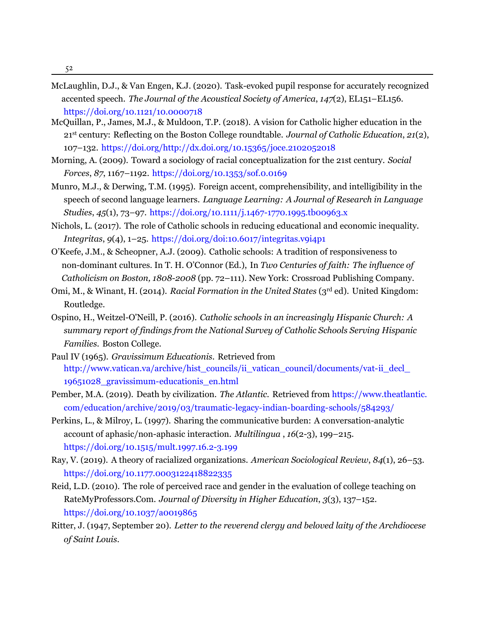52

- <span id="page-31-12"></span>McLaughlin, D.J., & Van Engen, K.J. (2020). Task-evoked pupil response for accurately recognized accented speech. *The Journal of the Acoustical Society of America*, *147*(2), EL151–EL156. <https://doi.org/10.1121/10.0000718>
- <span id="page-31-13"></span>McQuillan, P., James, M.J., & Muldoon, T.P. (2018). A vision for Catholic higher education in the 21st century: Reflecting on the Boston College roundtable. *Journal of Catholic Education*, *21*(2), 107–132. <https://doi.org/http://dx.doi.org/10.15365/joce.2102052018>
- <span id="page-31-0"></span>Morning, A. (2009). Toward a sociology of racial conceptualization for the 21st century. *Social Forces*, *87*, 1167–1192. <https://doi.org/10.1353/sof.0.0169>
- <span id="page-31-4"></span>Munro, M.J., & Derwing, T.M. (1995). Foreign accent, comprehensibility, and intelligibility in the speech of second language learners. *Language Learning: A Journal of Research in Language Studies*, *45*(1), 73–97. <https://doi.org/10.1111/j.1467-1770.1995.tb00963.x>
- <span id="page-31-3"></span>Nichols, L. (2017). The role of Catholic schools in reducing educational and economic inequality. *Integritas*, *9*(4), 1–25. <https://doi.org/doi:10.6017/integritas.v9i4p1>
- <span id="page-31-8"></span>O'Keefe, J.M., & Scheopner, A.J. (2009). Catholic schools: A tradition of responsiveness to non-dominant cultures. In T. H. O'Connor (Ed.), In *Two Centuries of faith: The influence of Catholicism on Boston, 1808-2008* (pp. 72–111). New York: Crossroad Publishing Company.
- <span id="page-31-1"></span>Omi, M., & Winant, H. (2014). *Racial Formation in the United States* (3rd ed). United Kingdom: Routledge.
- <span id="page-31-11"></span>Ospino, H., Weitzel-O'Neill, P. (2016). *Catholic schools in an increasingly Hispanic Church: A summary report of findings from the National Survey of Catholic Schools Serving Hispanic Families*. Boston College.
- <span id="page-31-7"></span>Paul IV (1965). *Gravissimum Educationis*. [Retrieved](http://www.vatican.va/archive/hist_councils/ii_vatican_council/documents/vat-ii_decl_19651028_gravissimum-educationis_en.html) from http://www.vatican.va/archive/hist\_councils/ii\_vatican\_council/documents/vat-ii\_decl [19651028\\_gravissimum-educationis\\_en.html](http://www.vatican.va/archive/hist_councils/ii_vatican_council/documents/vat-ii_decl_19651028_gravissimum-educationis_en.html)
- <span id="page-31-10"></span>Pember, M.A. (2019). Death by civilization. *The Atlantic*. Retrieved from [https://www.theatlantic.](https://www.theatlantic.com/education/archive/2019/03/traumatic-legacy-indian-boarding-schools/584293/) [com/education/archive/2019/03/traumatic-legacy-indian-boarding-schools/584293/](https://www.theatlantic.com/education/archive/2019/03/traumatic-legacy-indian-boarding-schools/584293/)
- <span id="page-31-5"></span>Perkins, L., & Milroy, L. (1997). Sharing the communicative burden: A conversation-analytic account of aphasic/non-aphasic interaction. *Multilingua* , *16*(2-3), 199–215. <https://doi.org/10.1515/mult.1997.16.2-3.199>
- <span id="page-31-6"></span>Ray, V. (2019). A theory of racialized organizations. *American Sociological Review*, *84*(1), 26–53. <https://doi.org/10.1177.0003122418822335>
- <span id="page-31-2"></span>Reid, L.D. (2010). The role of perceived race and gender in the evaluation of college teaching on RateMyProfessors.Com. *Journal of Diversity in Higher Education*, *3*(3), 137–152. <https://doi.org/10.1037/a0019865>
- <span id="page-31-9"></span>Ritter, J. (1947, September 20). *Letter to the reverend clergy and beloved laity of the Archdiocese of Saint Louis*.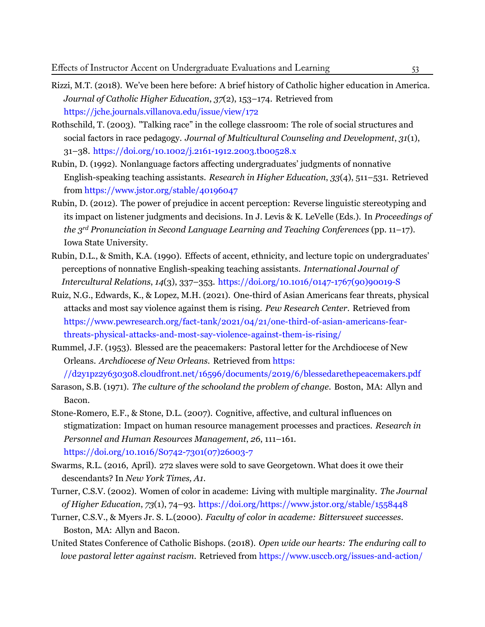- <span id="page-32-3"></span>Rizzi, M.T. (2018). We've been here before: A brief history of Catholic higher education in America. *Journal of Catholic Higher Education*, *37*(2), 153–174. [Retrieved](https://jche.journals.villanova.edu/issue/view/172) from <https://jche.journals.villanova.edu/issue/view/172>
- <span id="page-32-7"></span>Rothschild, T. (2003). "Talking race" in the college classroom: The role of social structures and social factors in race pedagogy. *Journal of Multicultural Counseling and Development*, *31*(1), 31–38. <https://doi.org/10.1002/j.2161-1912.2003.tb00528.x>
- <span id="page-32-4"></span>Rubin, D. (1992). Nonlanguage factors affecting undergraduates' judgments of nonnative English-speaking teaching assistants. *Research in Higher Education*, *33*(4), 511–531. [Retrieved](https://www.jstor.org/stable/40196047) from <https://www.jstor.org/stable/40196047>
- <span id="page-32-8"></span>Rubin, D. (2012). The power of prejudice in accent perception: Reverse linguistic stereotyping and its impact on listener judgments and decisions. In J. Levis & K. LeVelle (Eds.). In *Proceedings of the 3 rd Pronunciation in Second Language Learning and Teaching Conferences* (pp. 11–17). Iowa State University.
- <span id="page-32-9"></span>Rubin, D.L., & Smith, K.A. (1990). Effects of accent, ethnicity, and lecture topic on undergraduates' perceptions of nonnative English-speaking teaching assistants. *International Journal of Intercultural Relations*, *14*(3), 337–353. [https://doi.org/10.1016/0147-1767\(90\)90019-S](https://doi.org/10.1016/0147-1767(90)90019-S)
- <span id="page-32-0"></span>Ruiz, N.G., Edwards, K., & Lopez, M.H. (2021). One-third of Asian Americans fear threats, physical attacks and most say violence against them is rising. *Pew Research Center*. [Retrieved from](https://www.pewresearch.org/fact-tank/2021/04/21/one-third-of-asian-americans-fear-threats-physical-attacks-and-most-say-violence-against-them-is-rising/) [https://www.pewresearch.org/fact-tank/2021/04/21/one-third-of-asian-americans-fear](https://www.pewresearch.org/fact-tank/2021/04/21/one-third-of-asian-americans-fear-threats-physical-attacks-and-most-say-violence-against-them-is-rising/)[threats-physical-attacks-and-most-say-violence-against-them-is-rising/](https://www.pewresearch.org/fact-tank/2021/04/21/one-third-of-asian-americans-fear-threats-physical-attacks-and-most-say-violence-against-them-is-rising/)
- <span id="page-32-11"></span>Rummel, J.F. (1953). Blessed are the peacemakers: Pastoral letter for the Archdiocese of New Orleans. *Archdiocese of New Orleans*. [Retrieved from](https://d2y1pz2y630308.cloudfront.net/16596/documents/2019/6/blessedarethepeacemakers.pdf) https:

[//d2y1pz2y630308.cloudfront.net/16596/documents/2019/6/blessedarethepeacemakers.pdf](https://d2y1pz2y630308.cloudfront.net/16596/documents/2019/6/blessedarethepeacemakers.pdf)

- <span id="page-32-10"></span><span id="page-32-5"></span>Sarason, S.B. (1971). *The culture of the schooland the problem of change*. Boston, MA: Allyn and Bacon.
- Stone-Romero, E.F., & Stone, D.L. (2007). Cognitive, affective, and cultural influences on stigmatization: Impact on human resource management processes and practices. *Research in Personnel and Human Resources Management*, *26*, 111–161. [https://doi.org/10.1016/S0742-7301\(07\)26003-7](https://doi.org/10.1016/S0742-7301(07)26003-7)
- <span id="page-32-6"></span><span id="page-32-2"></span>Swarms, R.L. (2016, April). 272 slaves were sold to save Georgetown. What does it owe their descendants? In *New York Times, A1*.
- <span id="page-32-1"></span>Turner, C.S.V. (2002). Women of color in academe: Living with multiple marginality. *The Journal of Higher Education*, *73*(1), 74–93. <https://doi.org/https://www.jstor.org/stable/1558448>
- <span id="page-32-12"></span>Turner, C.S.V., & Myers Jr. S. L.(2000). *Faculty of color in academe: Bittersweet successes*. Boston, MA: Allyn and Bacon.
- United States Conference of Catholic Bishops. (2018). *Open wide our hearts: The enduring call to love pastoral letter against racism*. Retrieved from [https://www.usccb.org/issues-and-action/](https://www.usccb.org/issues-and-action/human-life-and-dignity/racism/upload/open-wide-our-hearts.pdf)